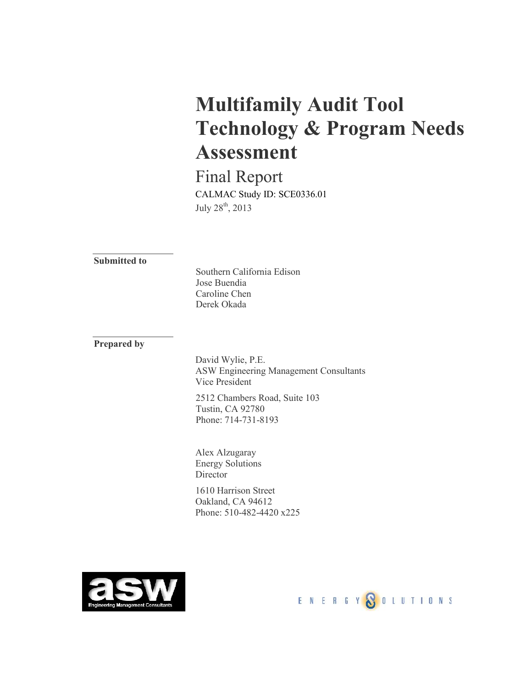# **Multifamily Audit Tool Technology & Program Needs Assessment**

Final Report CALMAC Study ID: SCE0336.01 July  $28^{\text{th}}$ ,  $2013$ 

**Submitted to**

Southern California Edison Jose Buendia Caroline Chen Derek Okada

**Prepared by**

David Wylie, P.E. ASW Engineering Management Consultants Vice President

2512 Chambers Road, Suite 103 Tustin, CA 92780 Phone: 714-731-8193

Alex Alzugaray Energy Solutions **Director** 

1610 Harrison Street Oakland, CA 94612 Phone: 510-482-4420 x225



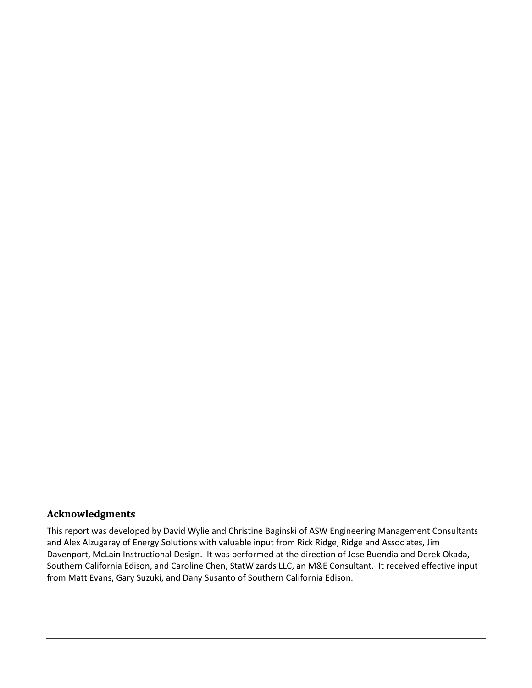#### **Acknowledgments**

This report was developed by David Wylie and Christine Baginski of ASW Engineering Management Consultants and Alex Alzugaray of Energy Solutions with valuable input from Rick Ridge, Ridge and Associates, Jim Davenport, McLain Instructional Design. It was performed at the direction of Jose Buendia and Derek Okada, Southern California Edison, and Caroline Chen, StatWizards LLC, an M&E Consultant. It received effective input from Matt Evans, Gary Suzuki, and Dany Susanto of Southern California Edison.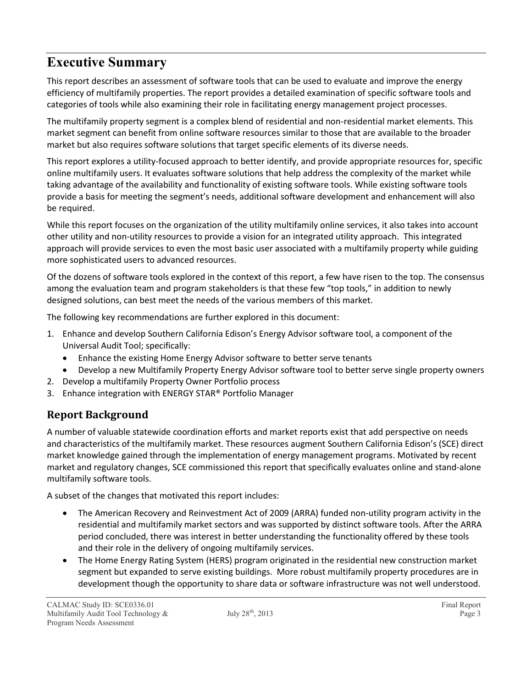## **Executive Summary**

This report describes an assessment of software tools that can be used to evaluate and improve the energy efficiency of multifamily properties. The report provides a detailed examination of specific software tools and categories of tools while also examining their role in facilitating energy management project processes.

The multifamily property segment is a complex blend of residential and non-residential market elements. This market segment can benefit from online software resources similar to those that are available to the broader market but also requires software solutions that target specific elements of its diverse needs.

This report explores a utility-focused approach to better identify, and provide appropriate resources for, specific online multifamily users. It evaluates software solutions that help address the complexity of the market while taking advantage of the availability and functionality of existing software tools. While existing software tools provide a basis for meeting the segment's needs, additional software development and enhancement will also be required.

While this report focuses on the organization of the utility multifamily online services, it also takes into account other utility and non-utility resources to provide a vision for an integrated utility approach. This integrated approach will provide services to even the most basic user associated with a multifamily property while guiding more sophisticated users to advanced resources.

Of the dozens of software tools explored in the context of this report, a few have risen to the top. The consensus among the evaluation team and program stakeholders is that these few "top tools," in addition to newly designed solutions, can best meet the needs of the various members of this market.

The following key recommendations are further explored in this document:

- 1. Enhance and develop Southern California Edison's Energy Advisor software tool, a component of the Universal Audit Tool; specifically:
	- Enhance the existing Home Energy Advisor software to better serve tenants
	- Develop a new Multifamily Property Energy Advisor software tool to better serve single property owners
- 2. Develop a multifamily Property Owner Portfolio process
- 3. Enhance integration with ENERGY STAR® Portfolio Manager

### **Report Background**

A number of valuable statewide coordination efforts and market reports exist that add perspective on needs and characteristics of the multifamily market. These resources augment Southern California Edison's (SCE) direct market knowledge gained through the implementation of energy management programs. Motivated by recent market and regulatory changes, SCE commissioned this report that specifically evaluates online and stand-alone multifamily software tools.

A subset of the changes that motivated this report includes:

- The American Recovery and Reinvestment Act of 2009 (ARRA) funded non-utility program activity in the residential and multifamily market sectors and was supported by distinct software tools. After the ARRA period concluded, there was interest in better understanding the functionality offered by these tools and their role in the delivery of ongoing multifamily services.
- The Home Energy Rating System (HERS) program originated in the residential new construction market segment but expanded to serve existing buildings. More robust multifamily property procedures are in development though the opportunity to share data or software infrastructure was not well understood.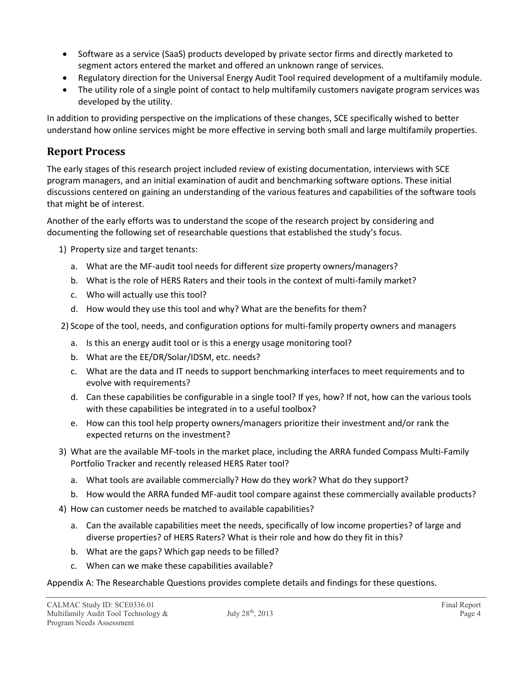- Software as a service (SaaS) products developed by private sector firms and directly marketed to segment actors entered the market and offered an unknown range of services.
- Regulatory direction for the Universal Energy Audit Tool required development of a multifamily module.
- The utility role of a single point of contact to help multifamily customers navigate program services was developed by the utility.

In addition to providing perspective on the implications of these changes, SCE specifically wished to better understand how online services might be more effective in serving both small and large multifamily properties.

### **Report Process**

The early stages of this research project included review of existing documentation, interviews with SCE program managers, and an initial examination of audit and benchmarking software options. These initial discussions centered on gaining an understanding of the various features and capabilities of the software tools that might be of interest.

Another of the early efforts was to understand the scope of the research project by considering and documenting the following set of researchable questions that established the study's focus.

- 1) Property size and target tenants:
	- a. What are the MF-audit tool needs for different size property owners/managers?
	- b. What is the role of HERS Raters and their tools in the context of multi-family market?
	- c. Who will actually use this tool?
	- d. How would they use this tool and why? What are the benefits for them?

2) Scope of the tool, needs, and configuration options for multi-family property owners and managers

- a. Is this an energy audit tool or is this a energy usage monitoring tool?
- b. What are the EE/DR/Solar/IDSM, etc. needs?
- c. What are the data and IT needs to support benchmarking interfaces to meet requirements and to evolve with requirements?
- d. Can these capabilities be configurable in a single tool? If yes, how? If not, how can the various tools with these capabilities be integrated in to a useful toolbox?
- e. How can this tool help property owners/managers prioritize their investment and/or rank the expected returns on the investment?
- 3) What are the available MF-tools in the market place, including the ARRA funded Compass Multi-Family Portfolio Tracker and recently released HERS Rater tool?
	- a. What tools are available commercially? How do they work? What do they support?
	- b. How would the ARRA funded MF-audit tool compare against these commercially available products?
- 4) How can customer needs be matched to available capabilities?
	- a. Can the available capabilities meet the needs, specifically of low income properties? of large and diverse properties? of HERS Raters? What is their role and how do they fit in this?
	- b. What are the gaps? Which gap needs to be filled?
	- c. When can we make these capabilities available?

#### Appendix A: The Researchable Questions provides complete details and findings for these questions.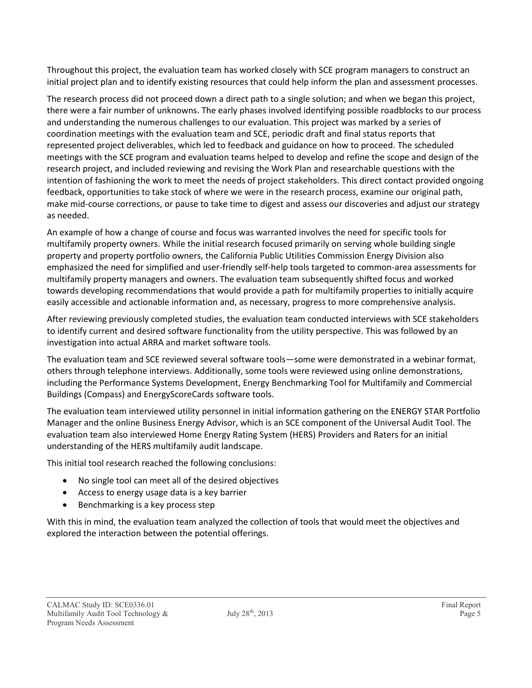Throughout this project, the evaluation team has worked closely with SCE program managers to construct an initial project plan and to identify existing resources that could help inform the plan and assessment processes.

The research process did not proceed down a direct path to a single solution; and when we began this project, there were a fair number of unknowns. The early phases involved identifying possible roadblocks to our process and understanding the numerous challenges to our evaluation. This project was marked by a series of coordination meetings with the evaluation team and SCE, periodic draft and final status reports that represented project deliverables, which led to feedback and guidance on how to proceed. The scheduled meetings with the SCE program and evaluation teams helped to develop and refine the scope and design of the research project, and included reviewing and revising the Work Plan and researchable questions with the intention of fashioning the work to meet the needs of project stakeholders. This direct contact provided ongoing feedback, opportunities to take stock of where we were in the research process, examine our original path, make mid-course corrections, or pause to take time to digest and assess our discoveries and adjust our strategy as needed.

An example of how a change of course and focus was warranted involves the need for specific tools for multifamily property owners. While the initial research focused primarily on serving whole building single property and property portfolio owners, the California Public Utilities Commission Energy Division also emphasized the need for simplified and user-friendly self-help tools targeted to common-area assessments for multifamily property managers and owners. The evaluation team subsequently shifted focus and worked towards developing recommendations that would provide a path for multifamily properties to initially acquire easily accessible and actionable information and, as necessary, progress to more comprehensive analysis.

After reviewing previously completed studies, the evaluation team conducted interviews with SCE stakeholders to identify current and desired software functionality from the utility perspective. This was followed by an investigation into actual ARRA and market software tools.

The evaluation team and SCE reviewed several software tools—some were demonstrated in a webinar format, others through telephone interviews. Additionally, some tools were reviewed using online demonstrations, including the Performance Systems Development, Energy Benchmarking Tool for Multifamily and Commercial Buildings (Compass) and EnergyScoreCards software tools.

The evaluation team interviewed utility personnel in initial information gathering on the ENERGY STAR Portfolio Manager and the online Business Energy Advisor, which is an SCE component of the Universal Audit Tool. The evaluation team also interviewed Home Energy Rating System (HERS) Providers and Raters for an initial understanding of the HERS multifamily audit landscape.

This initial tool research reached the following conclusions:

- No single tool can meet all of the desired objectives
- Access to energy usage data is a key barrier
- Benchmarking is a key process step

With this in mind, the evaluation team analyzed the collection of tools that would meet the objectives and explored the interaction between the potential offerings.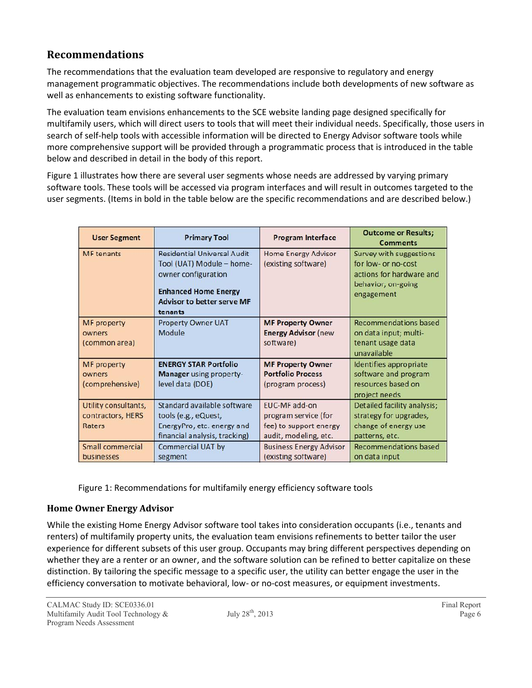### **Recommendations**

The recommendations that the evaluation team developed are responsive to regulatory and energy management programmatic objectives. The recommendations include both developments of new software as well as enhancements to existing software functionality.

The evaluation team envisions enhancements to the SCE website landing page designed specifically for multifamily users, which will direct users to tools that will meet their individual needs. Specifically, those users in search of self-help tools with accessible information will be directed to Energy Advisor software tools while more comprehensive support will be provided through a programmatic process that is introduced in the table below and described in detail in the body of this report.

Figure 1 illustrates how there are several user segments whose needs are addressed by varying primary software tools. These tools will be accessed via program interfaces and will result in outcomes targeted to the user segments. (Items in bold in the table below are the specific recommendations and are described below.)

| <b>User Segment</b>                                 | <b>Primary Tool</b>                                                                                                                                                   | <b>Program Interface</b>                                                                        | <b>Outcome or Results;</b><br><b>Comments</b>                                                                  |
|-----------------------------------------------------|-----------------------------------------------------------------------------------------------------------------------------------------------------------------------|-------------------------------------------------------------------------------------------------|----------------------------------------------------------------------------------------------------------------|
| <b>MF</b> tenants                                   | <b>Residential Universal Audit</b><br>Tool (UAT) Module - home-<br>owner configuration<br><b>Enhanced Home Energy</b><br><b>Advisor to better serve MF</b><br>tenants | <b>Home Energy Advisor</b><br>(existing software)                                               | Survey with suggestions<br>for low- or no-cost<br>actions for hardware and<br>behavior; on-going<br>engagement |
| <b>MF</b> property<br>owners<br>(common area)       | <b>Property Owner UAT</b><br>Module                                                                                                                                   | <b>MF Property Owner</b><br><b>Energy Advisor (new</b><br>software)                             | <b>Recommendations based</b><br>on data input; multi-<br>tenant usage data<br>unavailable                      |
| <b>MF</b> property<br>owners<br>(comprehensive)     | <b>ENERGY STAR Portfolio</b><br><b>Manager</b> using property-<br>level data (DOE)                                                                                    | <b>MF Property Owner</b><br><b>Portfolio Process</b><br>(program process)                       | Identifies appropriate<br>software and program<br>resources based on<br>project needs                          |
| Utility consultants,<br>contractors, HERS<br>Raters | Standard available software<br>tools (e.g., eQuest,<br>EnergyPro, etc. energy and<br>financial analysis, tracking)                                                    | <b>EUC-MF</b> add-on<br>program service (for<br>fee) to support energy<br>audit, modeling, etc. | Detailed facility analysis;<br>strategy for upgrades,<br>change of energy use<br>patterns, etc.                |
| Small commercial<br>businesses                      | Commercial UAT by<br>segment                                                                                                                                          | <b>Business Energy Advisor</b><br>(existing software)                                           | <b>Recommendations based</b><br>on data input                                                                  |

Figure 1: Recommendations for multifamily energy efficiency software tools

#### **Home Owner Energy Advisor**

While the existing Home Energy Advisor software tool takes into consideration occupants (i.e., tenants and renters) of multifamily property units, the evaluation team envisions refinements to better tailor the user experience for different subsets of this user group. Occupants may bring different perspectives depending on whether they are a renter or an owner, and the software solution can be refined to better capitalize on these distinction. By tailoring the specific message to a specific user, the utility can better engage the user in the efficiency conversation to motivate behavioral, low- or no-cost measures, or equipment investments.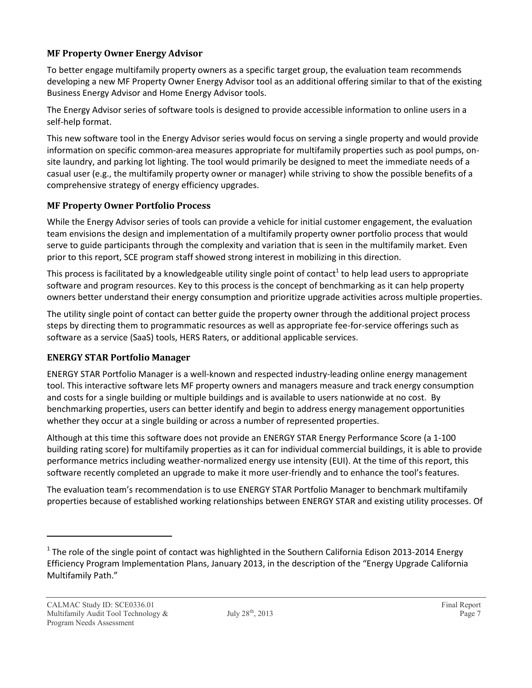#### **MF Property Owner Energy Advisor**

To better engage multifamily property owners as a specific target group, the evaluation team recommends developing a new MF Property Owner Energy Advisor tool as an additional offering similar to that of the existing Business Energy Advisor and Home Energy Advisor tools.

The Energy Advisor series of software tools is designed to provide accessible information to online users in a self-help format.

This new software tool in the Energy Advisor series would focus on serving a single property and would provide information on specific common-area measures appropriate for multifamily properties such as pool pumps, onsite laundry, and parking lot lighting. The tool would primarily be designed to meet the immediate needs of a casual user (e.g., the multifamily property owner or manager) while striving to show the possible benefits of a comprehensive strategy of energy efficiency upgrades.

#### **MF Property Owner Portfolio Process**

While the Energy Advisor series of tools can provide a vehicle for initial customer engagement, the evaluation team envisions the design and implementation of a multifamily property owner portfolio process that would serve to guide participants through the complexity and variation that is seen in the multifamily market. Even prior to this report, SCE program staff showed strong interest in mobilizing in this direction.

This process is facilitated by a knowledgeable utility single point of contact<sup>1</sup> to help lead users to appropriate software and program resources. Key to this process is the concept of benchmarking as it can help property owners better understand their energy consumption and prioritize upgrade activities across multiple properties.

The utility single point of contact can better guide the property owner through the additional project process steps by directing them to programmatic resources as well as appropriate fee-for-service offerings such as software as a service (SaaS) tools, HERS Raters, or additional applicable services.

#### **ENERGY STAR Portfolio Manager**

ENERGY STAR Portfolio Manager is a well-known and respected industry-leading online energy management tool. This interactive software lets MF property owners and managers measure and track energy consumption and costs for a single building or multiple buildings and is available to users nationwide at no cost. By benchmarking properties, users can better identify and begin to address energy management opportunities whether they occur at a single building or across a number of represented properties.

Although at this time this software does not provide an ENERGY STAR Energy Performance Score (a 1-100 building rating score) for multifamily properties as it can for individual commercial buildings, it is able to provide performance metrics including weather-normalized energy use intensity (EUI). At the time of this report, this software recently completed an upgrade to make it more user-friendly and to enhance the tool's features.

The evaluation team's recommendation is to use ENERGY STAR Portfolio Manager to benchmark multifamily properties because of established working relationships between ENERGY STAR and existing utility processes. Of

 $^1$  The role of the single point of contact was highlighted in the Southern California Edison 2013-2014 Energy Efficiency Program Implementation Plans, January 2013, in the description of the "Energy Upgrade California Multifamily Path."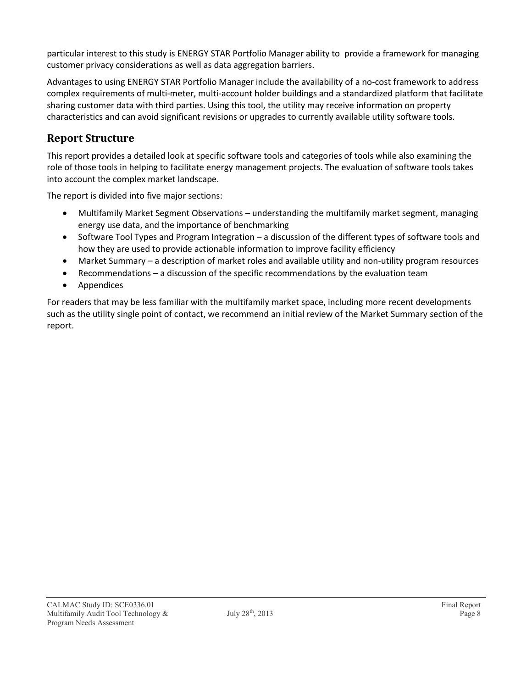particular interest to this study is ENERGY STAR Portfolio Manager ability to provide a framework for managing customer privacy considerations as well as data aggregation barriers.

Advantages to using ENERGY STAR Portfolio Manager include the availability of a no-cost framework to address complex requirements of multi-meter, multi-account holder buildings and a standardized platform that facilitate sharing customer data with third parties. Using this tool, the utility may receive information on property characteristics and can avoid significant revisions or upgrades to currently available utility software tools.

### **Report Structure**

This report provides a detailed look at specific software tools and categories of tools while also examining the role of those tools in helping to facilitate energy management projects. The evaluation of software tools takes into account the complex market landscape.

The report is divided into five major sections:

- Multifamily Market Segment Observations understanding the multifamily market segment, managing energy use data, and the importance of benchmarking
- Software Tool Types and Program Integration a discussion of the different types of software tools and how they are used to provide actionable information to improve facility efficiency
- Market Summary a description of market roles and available utility and non-utility program resources
- Recommendations a discussion of the specific recommendations by the evaluation team
- **•** Appendices

For readers that may be less familiar with the multifamily market space, including more recent developments such as the utility single point of contact, we recommend an initial review of the Market Summary section of the report.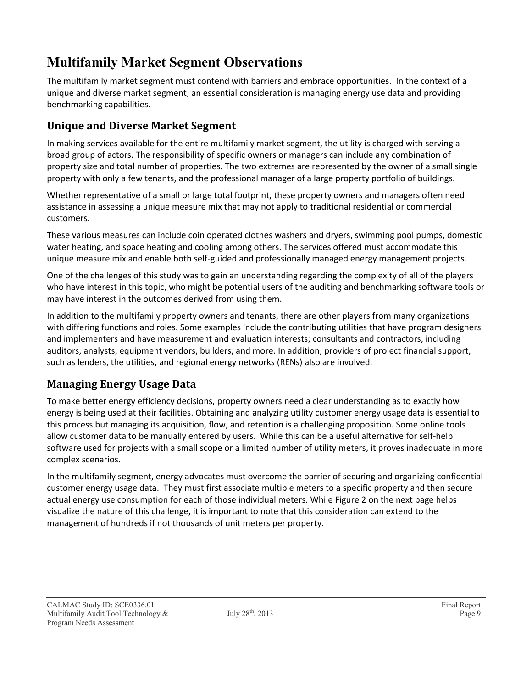## **Multifamily Market Segment Observations**

The multifamily market segment must contend with barriers and embrace opportunities. In the context of a unique and diverse market segment, an essential consideration is managing energy use data and providing benchmarking capabilities.

### **Unique and Diverse Market Segment**

In making services available for the entire multifamily market segment, the utility is charged with serving a broad group of actors. The responsibility of specific owners or managers can include any combination of property size and total number of properties. The two extremes are represented by the owner of a small single property with only a few tenants, and the professional manager of a large property portfolio of buildings.

Whether representative of a small or large total footprint, these property owners and managers often need assistance in assessing a unique measure mix that may not apply to traditional residential or commercial customers.

These various measures can include coin operated clothes washers and dryers, swimming pool pumps, domestic water heating, and space heating and cooling among others. The services offered must accommodate this unique measure mix and enable both self-guided and professionally managed energy management projects.

One of the challenges of this study was to gain an understanding regarding the complexity of all of the players who have interest in this topic, who might be potential users of the auditing and benchmarking software tools or may have interest in the outcomes derived from using them.

In addition to the multifamily property owners and tenants, there are other players from many organizations with differing functions and roles. Some examples include the contributing utilities that have program designers and implementers and have measurement and evaluation interests; consultants and contractors, including auditors, analysts, equipment vendors, builders, and more. In addition, providers of project financial support, such as lenders, the utilities, and regional energy networks (RENs) also are involved.

### **Managing Energy Usage Data**

To make better energy efficiency decisions, property owners need a clear understanding as to exactly how energy is being used at their facilities. Obtaining and analyzing utility customer energy usage data is essential to this process but managing its acquisition, flow, and retention is a challenging proposition. Some online tools allow customer data to be manually entered by users. While this can be a useful alternative for self-help software used for projects with a small scope or a limited number of utility meters, it proves inadequate in more complex scenarios.

In the multifamily segment, energy advocates must overcome the barrier of securing and organizing confidential customer energy usage data. They must first associate multiple meters to a specific property and then secure actual energy use consumption for each of those individual meters. While Figure 2 on the next page helps visualize the nature of this challenge, it is important to note that this consideration can extend to the management of hundreds if not thousands of unit meters per property.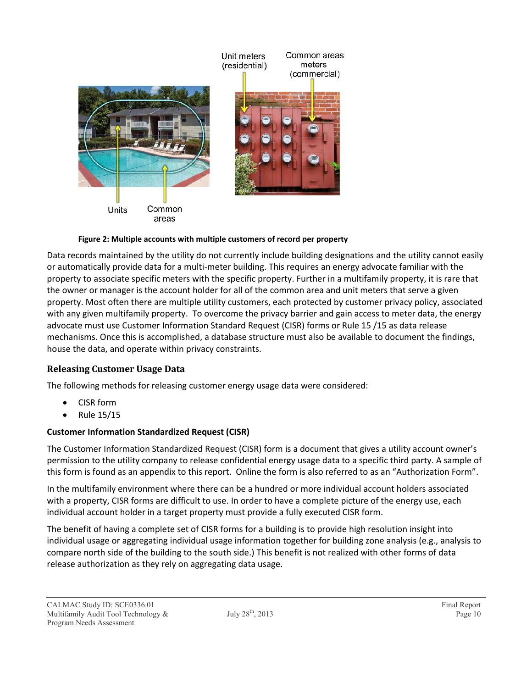

#### **Figure 2: Multiple accounts with multiple customers of record per property**

Data records maintained by the utility do not currently include building designations and the utility cannot easily or automatically provide data for a multi-meter building. This requires an energy advocate familiar with the property to associate specific meters with the specific property. Further in a multifamily property, it is rare that the owner or manager is the account holder for all of the common area and unit meters that serve a given property. Most often there are multiple utility customers, each protected by customer privacy policy, associated with any given multifamily property. To overcome the privacy barrier and gain access to meter data, the energy advocate must use Customer Information Standard Request (CISR) forms or Rule 15 /15 as data release mechanisms. Once this is accomplished, a database structure must also be available to document the findings, house the data, and operate within privacy constraints.

#### **Releasing Customer Usage Data**

The following methods for releasing customer energy usage data were considered:

- CISR form
- Rule 15/15

#### **Customer Information Standardized Request (CISR)**

The Customer Information Standardized Request (CISR) form is a document that gives a utility account owner's permission to the utility company to release confidential energy usage data to a specific third party. A sample of this form is found as an appendix to this report. Online the form is also referred to as an "Authorization Form".

In the multifamily environment where there can be a hundred or more individual account holders associated with a property, CISR forms are difficult to use. In order to have a complete picture of the energy use, each individual account holder in a target property must provide a fully executed CISR form.

The benefit of having a complete set of CISR forms for a building is to provide high resolution insight into individual usage or aggregating individual usage information together for building zone analysis (e.g., analysis to compare north side of the building to the south side.) This benefit is not realized with other forms of data release authorization as they rely on aggregating data usage.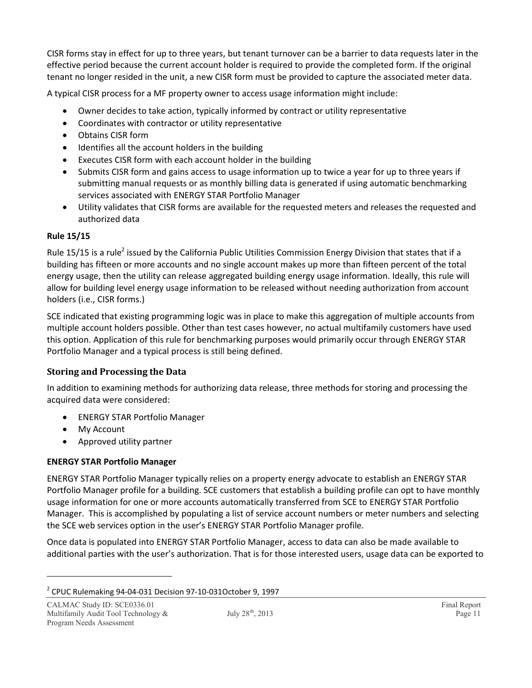CISR forms stay in effect for up to three years, but tenant turnover can be a barrier to data requests later in the effective period because the current account holder is required to provide the completed form. If the original tenant no longer resided in the unit, a new CISR form must be provided to capture the associated meter data.

A typical CISR process for a MF property owner to access usage information might include:

- Owner decides to take action, typically informed by contract or utility representative
- Coordinates with contractor or utility representative
- Obtains CISR form
- Identifies all the account holders in the building
- Executes CISR form with each account holder in the building
- Submits CISR form and gains access to usage information up to twice a year for up to three years if submitting manual requests or as monthly billing data is generated if using automatic benchmarking services associated with ENERGY STAR Portfolio Manager
- Utility validates that CISR forms are available for the requested meters and releases the requested and authorized data

#### **Rule 15/15**

Rule 15/15 is a rule<sup>2</sup> issued by the California Public Utilities Commission Energy Division that states that if a building has fifteen or more accounts and no single account makes up more than fifteen percent of the total energy usage, then the utility can release aggregated building energy usage information. Ideally, this rule will allow for building level energy usage information to be released without needing authorization from account holders (i.e., CISR forms.)

SCE indicated that existing programming logic was in place to make this aggregation of multiple accounts from multiple account holders possible. Other than test cases however, no actual multifamily customers have used this option. Application of this rule for benchmarking purposes would primarily occur through ENERGY STAR Portfolio Manager and a typical process is still being defined.

#### **Storing and Processing the Data**

In addition to examining methods for authorizing data release, three methods for storing and processing the acquired data were considered:

- ENERGY STAR Portfolio Manager
- My Account
- Approved utility partner

#### **ENERGY STAR Portfolio Manager**

ENERGY STAR Portfolio Manager typically relies on a property energy advocate to establish an ENERGY STAR Portfolio Manager profile for a building. SCE customers that establish a building profile can opt to have monthly usage information for one or more accounts automatically transferred from SCE to ENERGY STAR Portfolio Manager. This is accomplished by populating a list of service account numbers or meter numbers and selecting the SCE web services option in the user's ENERGY STAR Portfolio Manager profile.

Once data is populated into ENERGY STAR Portfolio Manager, access to data can also be made available to additional parties with the user's authorization. That is for those interested users, usage data can be exported to

 $2^{2}$  CPUC Rulemaking 94-04-031 Decision 97-10-031October 9, 1997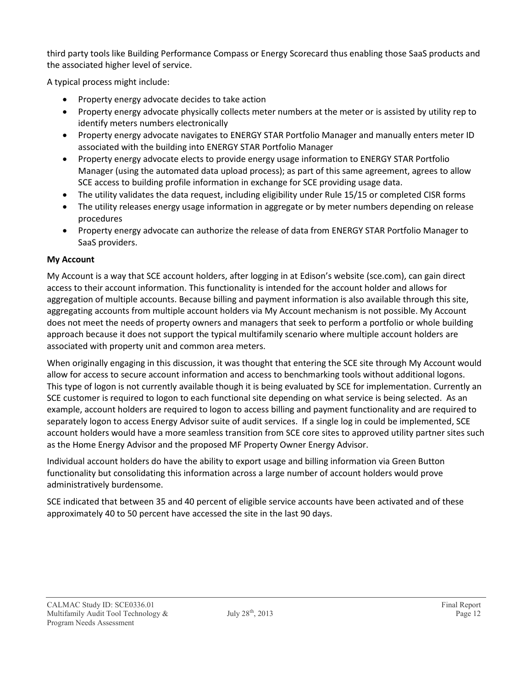third party tools like Building Performance Compass or Energy Scorecard thus enabling those SaaS products and the associated higher level of service.

A typical process might include:

- Property energy advocate decides to take action
- Property energy advocate physically collects meter numbers at the meter or is assisted by utility rep to identify meters numbers electronically
- Property energy advocate navigates to ENERGY STAR Portfolio Manager and manually enters meter ID associated with the building into ENERGY STAR Portfolio Manager
- Property energy advocate elects to provide energy usage information to ENERGY STAR Portfolio Manager (using the automated data upload process); as part of this same agreement, agrees to allow SCE access to building profile information in exchange for SCE providing usage data.
- The utility validates the data request, including eligibility under Rule 15/15 or completed CISR forms
- The utility releases energy usage information in aggregate or by meter numbers depending on release procedures
- Property energy advocate can authorize the release of data from ENERGY STAR Portfolio Manager to SaaS providers.

#### **My Account**

My Account is a way that SCE account holders, after logging in at Edison's website (sce.com), can gain direct access to their account information. This functionality is intended for the account holder and allows for aggregation of multiple accounts. Because billing and payment information is also available through this site, aggregating accounts from multiple account holders via My Account mechanism is not possible. My Account does not meet the needs of property owners and managers that seek to perform a portfolio or whole building approach because it does not support the typical multifamily scenario where multiple account holders are associated with property unit and common area meters.

When originally engaging in this discussion, it was thought that entering the SCE site through My Account would allow for access to secure account information and access to benchmarking tools without additional logons. This type of logon is not currently available though it is being evaluated by SCE for implementation. Currently an SCE customer is required to logon to each functional site depending on what service is being selected. As an example, account holders are required to logon to access billing and payment functionality and are required to separately logon to access Energy Advisor suite of audit services. If a single log in could be implemented, SCE account holders would have a more seamless transition from SCE core sites to approved utility partner sites such as the Home Energy Advisor and the proposed MF Property Owner Energy Advisor.

Individual account holders do have the ability to export usage and billing information via Green Button functionality but consolidating this information across a large number of account holders would prove administratively burdensome.

SCE indicated that between 35 and 40 percent of eligible service accounts have been activated and of these approximately 40 to 50 percent have accessed the site in the last 90 days.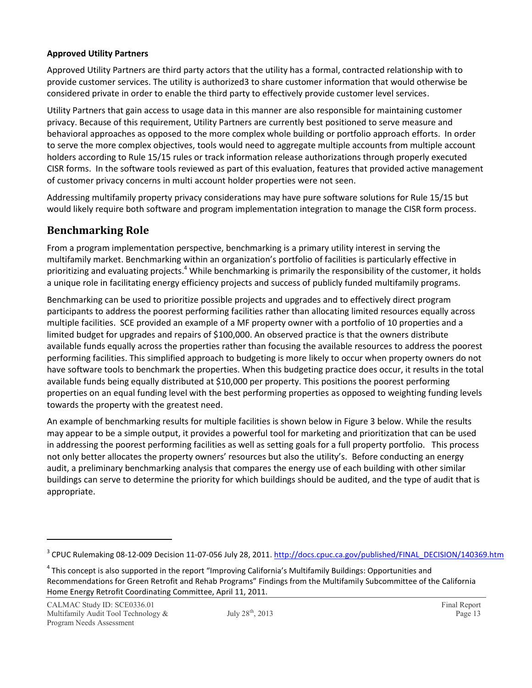#### **Approved Utility Partners**

Approved Utility Partners are third party actors that the utility has a formal, contracted relationship with to provide customer services. The utility is authorized3 to share customer information that would otherwise be considered private in order to enable the third party to effectively provide customer level services.

Utility Partners that gain access to usage data in this manner are also responsible for maintaining customer privacy. Because of this requirement, Utility Partners are currently best positioned to serve measure and behavioral approaches as opposed to the more complex whole building or portfolio approach efforts. In order to serve the more complex objectives, tools would need to aggregate multiple accounts from multiple account holders according to Rule 15/15 rules or track information release authorizations through properly executed CISR forms. In the software tools reviewed as part of this evaluation, features that provided active management of customer privacy concerns in multi account holder properties were not seen.

Addressing multifamily property privacy considerations may have pure software solutions for Rule 15/15 but would likely require both software and program implementation integration to manage the CISR form process.

#### **Benchmarking Role**

From a program implementation perspective, benchmarking is a primary utility interest in serving the multifamily market. Benchmarking within an organization's portfolio of facilities is particularly effective in prioritizing and evaluating projects.<sup>4</sup> While benchmarking is primarily the responsibility of the customer, it holds a unique role in facilitating energy efficiency projects and success of publicly funded multifamily programs.

Benchmarking can be used to prioritize possible projects and upgrades and to effectively direct program participants to address the poorest performing facilities rather than allocating limited resources equally across multiple facilities. SCE provided an example of a MF property owner with a portfolio of 10 properties and a limited budget for upgrades and repairs of \$100,000. An observed practice is that the owners distribute available funds equally across the properties rather than focusing the available resources to address the poorest performing facilities. This simplified approach to budgeting is more likely to occur when property owners do not have software tools to benchmark the properties. When this budgeting practice does occur, it results in the total available funds being equally distributed at \$10,000 per property. This positions the poorest performing properties on an equal funding level with the best performing properties as opposed to weighting funding levels towards the property with the greatest need.

An example of benchmarking results for multiple facilities is shown below in Figure 3 below. While the results may appear to be a simple output, it provides a powerful tool for marketing and prioritization that can be used in addressing the poorest performing facilities as well as setting goals for a full property portfolio. This process not only better allocates the property owners' resources but also the utility's. Before conducting an energy audit, a preliminary benchmarking analysis that compares the energy use of each building with other similar buildings can serve to determine the priority for which buildings should be audited, and the type of audit that is appropriate.

<sup>&</sup>lt;sup>3</sup> CPUC Rulemaking 08-12-009 Decision 11-07-056 July 28, 2011. http://docs.cpuc.ca.gov/published/FINAL\_DECISION/140369.htm

<sup>&</sup>lt;sup>4</sup> This concept is also supported in the report "Improving California's Multifamily Buildings: Opportunities and Recommendations for Green Retrofit and Rehab Programs" Findings from the Multifamily Subcommittee of the California Home Energy Retrofit Coordinating Committee, April 11, 2011.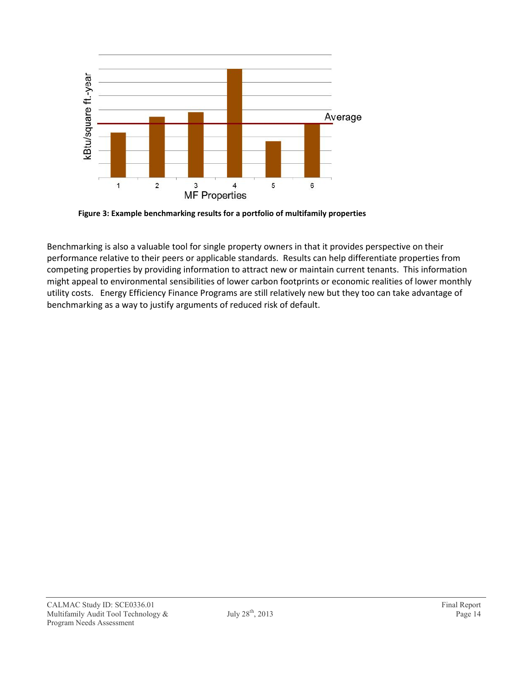

**Figure 3: Example benchmarking results for a portfolio of multifamily properties**

Benchmarking is also a valuable tool for single property owners in that it provides perspective on their performance relative to their peers or applicable standards. Results can help differentiate properties from competing properties by providing information to attract new or maintain current tenants. This information might appeal to environmental sensibilities of lower carbon footprints or economic realities of lower monthly utility costs. Energy Efficiency Finance Programs are still relatively new but they too can take advantage of benchmarking as a way to justify arguments of reduced risk of default.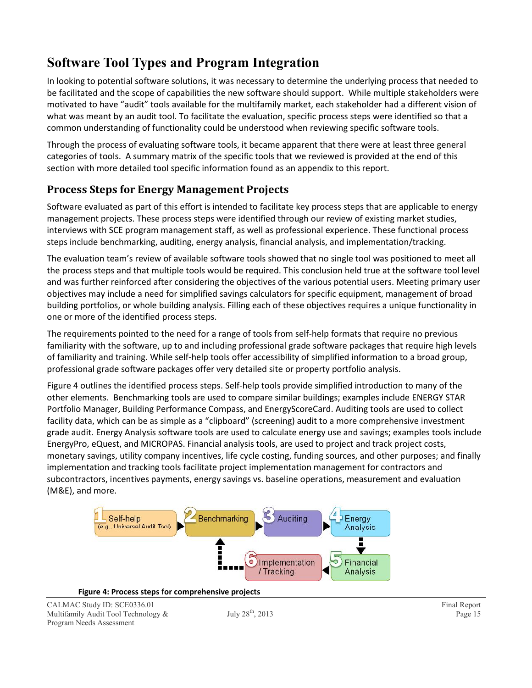## **Software Tool Types and Program Integration**

In looking to potential software solutions, it was necessary to determine the underlying process that needed to be facilitated and the scope of capabilities the new software should support. While multiple stakeholders were motivated to have "audit" tools available for the multifamily market, each stakeholder had a different vision of what was meant by an audit tool. To facilitate the evaluation, specific process steps were identified so that a common understanding of functionality could be understood when reviewing specific software tools.

Through the process of evaluating software tools, it became apparent that there were at least three general categories of tools. A summary matrix of the specific tools that we reviewed is provided at the end of this section with more detailed tool specific information found as an appendix to this report.

### **Process Steps for Energy Management Projects**

Software evaluated as part of this effort is intended to facilitate key process steps that are applicable to energy management projects. These process steps were identified through our review of existing market studies, interviews with SCE program management staff, as well as professional experience. These functional process steps include benchmarking, auditing, energy analysis, financial analysis, and implementation/tracking.

The evaluation team's review of available software tools showed that no single tool was positioned to meet all the process steps and that multiple tools would be required. This conclusion held true at the software tool level and was further reinforced after considering the objectives of the various potential users. Meeting primary user objectives may include a need for simplified savings calculators for specific equipment, management of broad building portfolios, or whole building analysis. Filling each of these objectives requires a unique functionality in one or more of the identified process steps.

The requirements pointed to the need for a range of tools from self-help formats that require no previous familiarity with the software, up to and including professional grade software packages that require high levels of familiarity and training. While self-help tools offer accessibility of simplified information to a broad group, professional grade software packages offer very detailed site or property portfolio analysis.

Figure 4 outlines the identified process steps. Self-help tools provide simplified introduction to many of the other elements. Benchmarking tools are used to compare similar buildings; examples include ENERGY STAR Portfolio Manager, Building Performance Compass, and EnergyScoreCard. Auditing tools are used to collect facility data, which can be as simple as a "clipboard" (screening) audit to a more comprehensive investment grade audit. Energy Analysis software tools are used to calculate energy use and savings; examples tools include EnergyPro, eQuest, and MICROPAS. Financial analysis tools, are used to project and track project costs, monetary savings, utility company incentives, life cycle costing, funding sources, and other purposes; and finally implementation and tracking tools facilitate project implementation management for contractors and subcontractors, incentives payments, energy savings vs. baseline operations, measurement and evaluation (M&E), and more.



**Figure 4: Process steps for comprehensive projects**

CALMAC Study ID: SCE0336.01 Final Report<br>
Multifamily Audit Tool Technology & July 28<sup>th</sup>, 2013 Page 15 Multifamily Audit Tool Technology  $\&$  July 28<sup>th</sup>, 2013 **Page 15** Page 15 Program Needs Assessment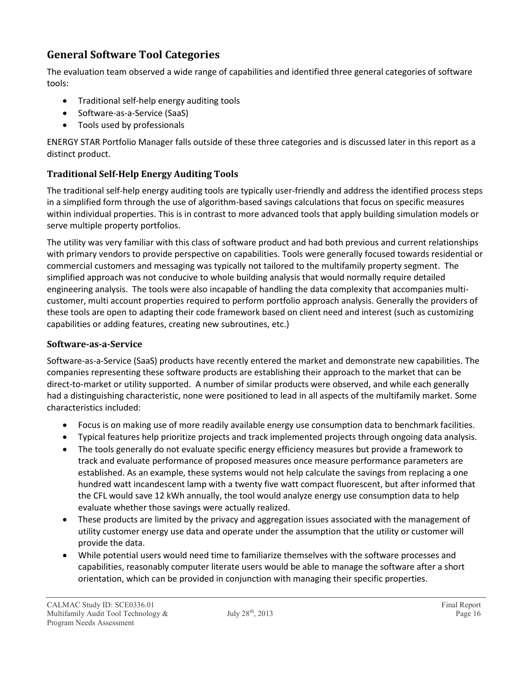### **General Software Tool Categories**

The evaluation team observed a wide range of capabilities and identified three general categories of software tools:

- Traditional self-help energy auditing tools
- Software-as-a-Service (SaaS)
- Tools used by professionals

ENERGY STAR Portfolio Manager falls outside of these three categories and is discussed later in this report as a distinct product.

#### **Traditional Self-Help Energy Auditing Tools**

The traditional self-help energy auditing tools are typically user-friendly and address the identified process steps in a simplified form through the use of algorithm-based savings calculations that focus on specific measures within individual properties. This is in contrast to more advanced tools that apply building simulation models or serve multiple property portfolios.

The utility was very familiar with this class of software product and had both previous and current relationships with primary vendors to provide perspective on capabilities. Tools were generally focused towards residential or commercial customers and messaging was typically not tailored to the multifamily property segment. The simplified approach was not conducive to whole building analysis that would normally require detailed engineering analysis. The tools were also incapable of handling the data complexity that accompanies multicustomer, multi account properties required to perform portfolio approach analysis. Generally the providers of these tools are open to adapting their code framework based on client need and interest (such as customizing capabilities or adding features, creating new subroutines, etc.)

#### **Software-as-a-Service**

Software-as-a-Service (SaaS) products have recently entered the market and demonstrate new capabilities. The companies representing these software products are establishing their approach to the market that can be direct-to-market or utility supported. A number of similar products were observed, and while each generally had a distinguishing characteristic, none were positioned to lead in all aspects of the multifamily market. Some characteristics included:

- Focus is on making use of more readily available energy use consumption data to benchmark facilities.
- Typical features help prioritize projects and track implemented projects through ongoing data analysis.
- The tools generally do not evaluate specific energy efficiency measures but provide a framework to track and evaluate performance of proposed measures once measure performance parameters are established. As an example, these systems would not help calculate the savings from replacing a one hundred watt incandescent lamp with a twenty five watt compact fluorescent, but after informed that the CFL would save 12 kWh annually, the tool would analyze energy use consumption data to help evaluate whether those savings were actually realized.
- These products are limited by the privacy and aggregation issues associated with the management of utility customer energy use data and operate under the assumption that the utility or customer will provide the data.
- While potential users would need time to familiarize themselves with the software processes and capabilities, reasonably computer literate users would be able to manage the software after a short orientation, which can be provided in conjunction with managing their specific properties.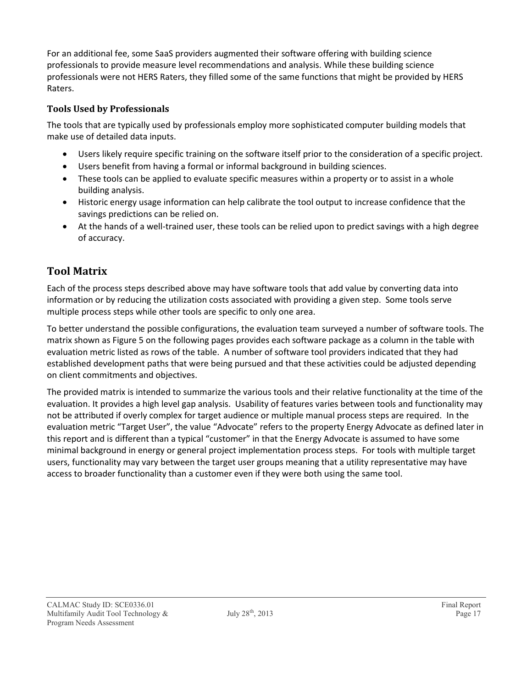For an additional fee, some SaaS providers augmented their software offering with building science professionals to provide measure level recommendations and analysis. While these building science professionals were not HERS Raters, they filled some of the same functions that might be provided by HERS Raters.

#### **Tools Used by Professionals**

The tools that are typically used by professionals employ more sophisticated computer building models that make use of detailed data inputs.

- Users likely require specific training on the software itself prior to the consideration of a specific project.
- Users benefit from having a formal or informal background in building sciences.
- These tools can be applied to evaluate specific measures within a property or to assist in a whole building analysis.
- Historic energy usage information can help calibrate the tool output to increase confidence that the savings predictions can be relied on.
- At the hands of a well-trained user, these tools can be relied upon to predict savings with a high degree of accuracy.

### **Tool Matrix**

Each of the process steps described above may have software tools that add value by converting data into information or by reducing the utilization costs associated with providing a given step. Some tools serve multiple process steps while other tools are specific to only one area.

To better understand the possible configurations, the evaluation team surveyed a number of software tools. The matrix shown as Figure 5 on the following pages provides each software package as a column in the table with evaluation metric listed as rows of the table. A number of software tool providers indicated that they had established development paths that were being pursued and that these activities could be adjusted depending on client commitments and objectives.

The provided matrix is intended to summarize the various tools and their relative functionality at the time of the evaluation. It provides a high level gap analysis. Usability of features varies between tools and functionality may not be attributed if overly complex for target audience or multiple manual process steps are required. In the evaluation metric "Target User", the value "Advocate" refers to the property Energy Advocate as defined later in this report and is different than a typical "customer" in that the Energy Advocate is assumed to have some minimal background in energy or general project implementation process steps. For tools with multiple target users, functionality may vary between the target user groups meaning that a utility representative may have access to broader functionality than a customer even if they were both using the same tool.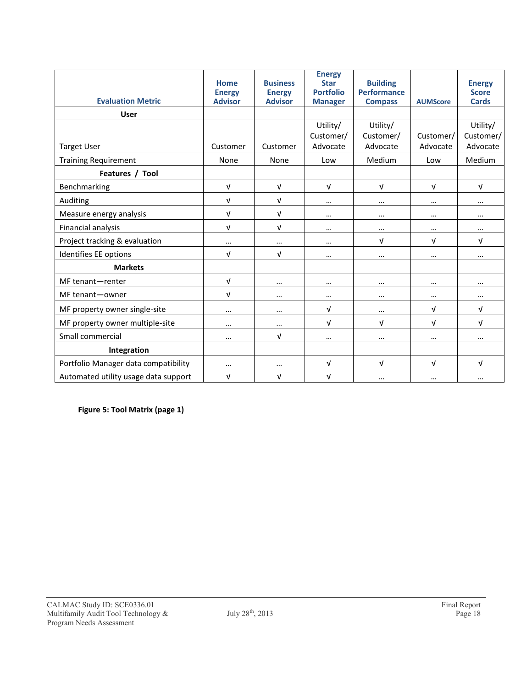|                                      | Home<br><b>Energy</b> | <b>Business</b><br><b>Energy</b> | <b>Energy</b><br><b>Star</b><br><b>Portfolio</b> | <b>Building</b><br><b>Performance</b> |                 | <b>Energy</b><br><b>Score</b> |
|--------------------------------------|-----------------------|----------------------------------|--------------------------------------------------|---------------------------------------|-----------------|-------------------------------|
| <b>Evaluation Metric</b>             | <b>Advisor</b>        | <b>Advisor</b>                   | <b>Manager</b>                                   | <b>Compass</b>                        | <b>AUMScore</b> | <b>Cards</b>                  |
| <b>User</b>                          |                       |                                  |                                                  |                                       |                 |                               |
|                                      |                       |                                  | Utility/                                         | Utility/                              |                 | Utility/                      |
|                                      |                       |                                  | Customer/                                        | Customer/                             | Customer/       | Customer/                     |
| <b>Target User</b>                   | Customer              | Customer                         | Advocate                                         | Advocate                              | Advocate        | Advocate                      |
| <b>Training Requirement</b>          | None                  | None                             | Low                                              | Medium                                | Low             | Medium                        |
| Features / Tool                      |                       |                                  |                                                  |                                       |                 |                               |
| Benchmarking                         | $\sqrt{ }$            | $\sqrt{ }$                       | $\sqrt{ }$                                       | $\sqrt{ }$                            | $\sqrt{ }$      | $\sqrt{ }$                    |
| Auditing                             | $\sqrt{ }$            | $\sqrt{ }$                       | $\cdots$                                         | $\cdots$                              | $\cdots$        | $\cdots$                      |
| Measure energy analysis              | $\sqrt{ }$            | $\sqrt{ }$                       | $\cdots$                                         | $\cdots$                              | $\cdots$        | $\cdots$                      |
| Financial analysis                   | $\sqrt{ }$            | $\sqrt{ }$                       | $\cdots$                                         | $\cdots$                              | $\cdots$        | $\cdots$                      |
| Project tracking & evaluation        | $\cdots$              | $\cdots$                         | $\cdots$                                         | V                                     | $\sqrt{ }$      | $\sqrt{ }$                    |
| Identifies EE options                | $\sqrt{ }$            | $\sqrt{ }$                       | $\cdots$                                         | $\cdots$                              | $\cdots$        | $\cdots$                      |
| <b>Markets</b>                       |                       |                                  |                                                  |                                       |                 |                               |
| MF tenant-renter                     | $\sqrt{ }$            | $\cdots$                         | $\cdots$                                         | $\cdots$                              | $\cdots$        | $\cdots$                      |
| MF tenant-owner                      | $\sqrt{ }$            | $\cdots$                         | $\cdots$                                         | $\cdots$                              | $\cdots$        | $\cdots$                      |
| MF property owner single-site        | $\cdots$              | $\cdots$                         | $\sqrt{ }$                                       | $\cdots$                              | $\sqrt{ }$      | $\sqrt{ }$                    |
| MF property owner multiple-site      | $\cdots$              | $\cdots$                         | $\sqrt{ }$                                       | V                                     | $\sqrt{ }$      | $\sqrt{ }$                    |
| Small commercial                     | $\cdots$              | $\sqrt{ }$                       | $\cdots$                                         | $\cdots$                              | $\cdots$        | $\cdots$                      |
| Integration                          |                       |                                  |                                                  |                                       |                 |                               |
| Portfolio Manager data compatibility | $\cdots$              | $\cdots$                         | V                                                | V                                     | $\sqrt{ }$      | $\sqrt{ }$                    |
| Automated utility usage data support | $\sqrt{ }$            | V                                | $\sqrt{ }$                                       | $\cdots$                              | $\cdots$        | $\cdots$                      |

**Figure 5: Tool Matrix (page 1)**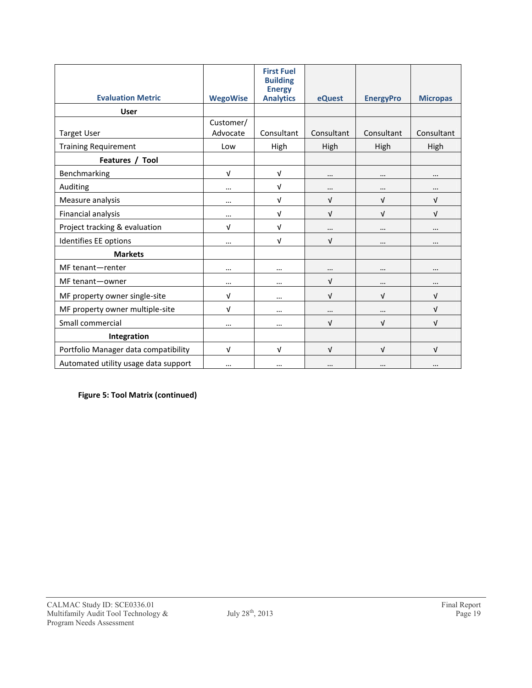| <b>Evaluation Metric</b>             | <b>WegoWise</b> | <b>First Fuel</b><br><b>Building</b><br><b>Energy</b><br><b>Analytics</b> | eQuest     | <b>EnergyPro</b> | <b>Micropas</b> |
|--------------------------------------|-----------------|---------------------------------------------------------------------------|------------|------------------|-----------------|
| <b>User</b>                          |                 |                                                                           |            |                  |                 |
|                                      | Customer/       |                                                                           |            |                  |                 |
| <b>Target User</b>                   | Advocate        | Consultant                                                                | Consultant | Consultant       | Consultant      |
| <b>Training Requirement</b>          | Low             | High                                                                      | High       | High             | High            |
| Features / Tool                      |                 |                                                                           |            |                  |                 |
| Benchmarking                         | $\sqrt{ }$      | $\sqrt{ }$                                                                |            | $\cdots$         |                 |
| Auditing                             | $\cdots$        | $\sqrt{ }$                                                                | $\cdots$   | $\cdots$         | $\cdots$        |
| Measure analysis                     | $\cdots$        | $\sqrt{ }$                                                                | v          | $\sqrt{ }$       | V               |
| Financial analysis                   | $\cdots$        | $\sqrt{ }$                                                                | $\sqrt{ }$ | $\sqrt{ }$       | $\sqrt{ }$      |
| Project tracking & evaluation        | V               | $\sqrt{ }$                                                                | $\cdots$   | $\cdots$         | $\cdots$        |
| Identifies EE options                | $\cdots$        | $\sqrt{ }$                                                                | $\sqrt{ }$ |                  | $\cdots$        |
| <b>Markets</b>                       |                 |                                                                           |            |                  |                 |
| MF tenant-renter                     | $\cdots$        | $\cdots$                                                                  | $\cdots$   | $\cdots$         | $\cdots$        |
| MF tenant-owner                      | $\cdots$        | $\cdots$                                                                  | $\sqrt{ }$ |                  |                 |
| MF property owner single-site        | $\sqrt{ }$      | $\cdots$                                                                  | $\sqrt{ }$ | $\sqrt{ }$       | $\sqrt{ }$      |
| MF property owner multiple-site      | V               | $\cdots$                                                                  | $\cdots$   |                  | V               |
| Small commercial                     | $\cdots$        | $\cdots$                                                                  | $\sqrt{ }$ | $\sqrt{ }$       | $\sqrt{ }$      |
| Integration                          |                 |                                                                           |            |                  |                 |
| Portfolio Manager data compatibility | $\sqrt{ }$      | $\sqrt{ }$                                                                | $\sqrt{ }$ | $\sqrt{ }$       | V               |
| Automated utility usage data support | $\cdots$        | $\cdots$                                                                  |            |                  |                 |

**Figure 5: Tool Matrix (continued)**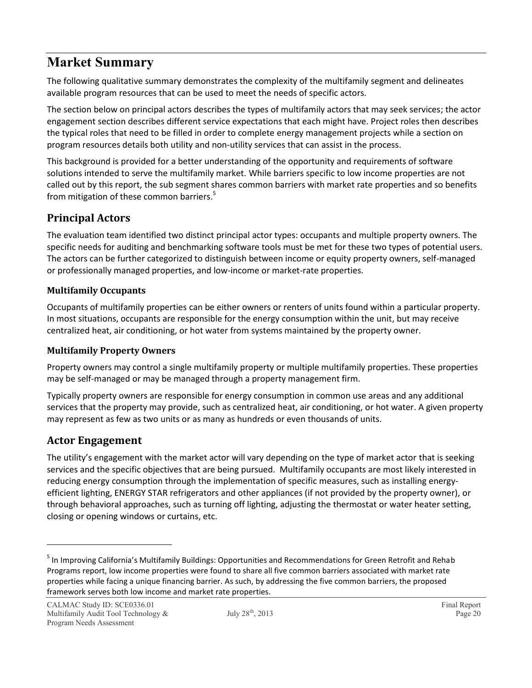## **Market Summary**

The following qualitative summary demonstrates the complexity of the multifamily segment and delineates available program resources that can be used to meet the needs of specific actors.

The section below on principal actors describes the types of multifamily actors that may seek services; the actor engagement section describes different service expectations that each might have. Project roles then describes the typical roles that need to be filled in order to complete energy management projects while a section on program resources details both utility and non-utility services that can assist in the process.

This background is provided for a better understanding of the opportunity and requirements of software solutions intended to serve the multifamily market. While barriers specific to low income properties are not called out by this report, the sub segment shares common barriers with market rate properties and so benefits from mitigation of these common barriers. 5

### **Principal Actors**

The evaluation team identified two distinct principal actor types: occupants and multiple property owners. The specific needs for auditing and benchmarking software tools must be met for these two types of potential users. The actors can be further categorized to distinguish between income or equity property owners, self-managed or professionally managed properties, and low-income or market-rate properties.

#### **Multifamily Occupants**

Occupants of multifamily properties can be either owners or renters of units found within a particular property. In most situations, occupants are responsible for the energy consumption within the unit, but may receive centralized heat, air conditioning, or hot water from systems maintained by the property owner.

#### **Multifamily Property Owners**

Property owners may control a single multifamily property or multiple multifamily properties. These properties may be self-managed or may be managed through a property management firm.

Typically property owners are responsible for energy consumption in common use areas and any additional services that the property may provide, such as centralized heat, air conditioning, or hot water. A given property may represent as few as two units or as many as hundreds or even thousands of units.

### **Actor Engagement**

The utility's engagement with the market actor will vary depending on the type of market actor that is seeking services and the specific objectives that are being pursued. Multifamily occupants are most likely interested in reducing energy consumption through the implementation of specific measures, such as installing energyefficient lighting, ENERGY STAR refrigerators and other appliances (if not provided by the property owner), or through behavioral approaches, such as turning off lighting, adjusting the thermostat or water heater setting, closing or opening windows or curtains, etc.

<sup>&</sup>lt;sup>5</sup> In Improving California's Multifamily Buildings: Opportunities and Recommendations for Green Retrofit and Rehab Programs report, low income properties were found to share all five common barriers associated with market rate properties while facing a unique financing barrier. As such, by addressing the five common barriers, the proposed framework serves both low income and market rate properties.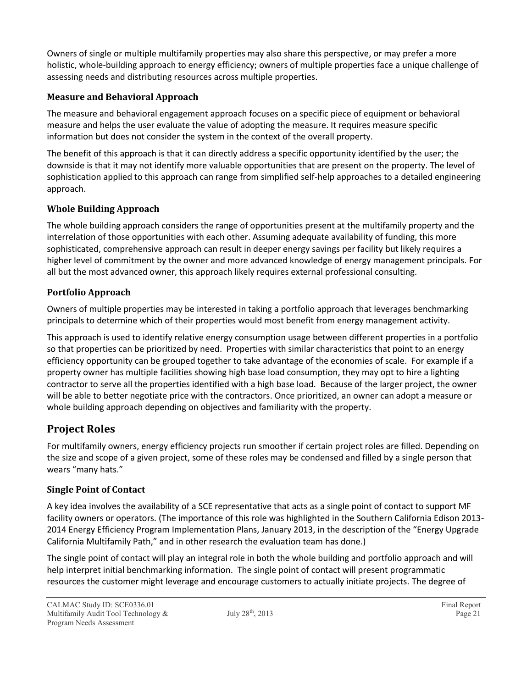Owners of single or multiple multifamily properties may also share this perspective, or may prefer a more holistic, whole-building approach to energy efficiency; owners of multiple properties face a unique challenge of assessing needs and distributing resources across multiple properties.

#### **Measure and Behavioral Approach**

The measure and behavioral engagement approach focuses on a specific piece of equipment or behavioral measure and helps the user evaluate the value of adopting the measure. It requires measure specific information but does not consider the system in the context of the overall property.

The benefit of this approach is that it can directly address a specific opportunity identified by the user; the downside is that it may not identify more valuable opportunities that are present on the property. The level of sophistication applied to this approach can range from simplified self-help approaches to a detailed engineering approach.

#### **Whole Building Approach**

The whole building approach considers the range of opportunities present at the multifamily property and the interrelation of those opportunities with each other. Assuming adequate availability of funding, this more sophisticated, comprehensive approach can result in deeper energy savings per facility but likely requires a higher level of commitment by the owner and more advanced knowledge of energy management principals. For all but the most advanced owner, this approach likely requires external professional consulting.

#### **Portfolio Approach**

Owners of multiple properties may be interested in taking a portfolio approach that leverages benchmarking principals to determine which of their properties would most benefit from energy management activity.

This approach is used to identify relative energy consumption usage between different properties in a portfolio so that properties can be prioritized by need. Properties with similar characteristics that point to an energy efficiency opportunity can be grouped together to take advantage of the economies of scale. For example if a property owner has multiple facilities showing high base load consumption, they may opt to hire a lighting contractor to serve all the properties identified with a high base load. Because of the larger project, the owner will be able to better negotiate price with the contractors. Once prioritized, an owner can adopt a measure or whole building approach depending on objectives and familiarity with the property.

### **Project Roles**

For multifamily owners, energy efficiency projects run smoother if certain project roles are filled. Depending on the size and scope of a given project, some of these roles may be condensed and filled by a single person that wears "many hats."

#### **Single Point of Contact**

A key idea involves the availability of a SCE representative that acts as a single point of contact to support MF facility owners or operators. (The importance of this role was highlighted in the Southern California Edison 2013- 2014 Energy Efficiency Program Implementation Plans, January 2013, in the description of the "Energy Upgrade California Multifamily Path," and in other research the evaluation team has done.)

The single point of contact will play an integral role in both the whole building and portfolio approach and will help interpret initial benchmarking information. The single point of contact will present programmatic resources the customer might leverage and encourage customers to actually initiate projects. The degree of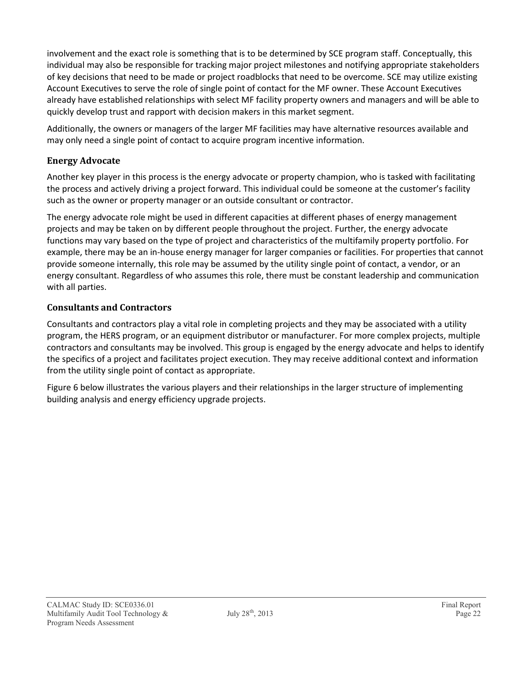involvement and the exact role is something that is to be determined by SCE program staff. Conceptually, this individual may also be responsible for tracking major project milestones and notifying appropriate stakeholders of key decisions that need to be made or project roadblocks that need to be overcome. SCE may utilize existing Account Executives to serve the role of single point of contact for the MF owner. These Account Executives already have established relationships with select MF facility property owners and managers and will be able to quickly develop trust and rapport with decision makers in this market segment.

Additionally, the owners or managers of the larger MF facilities may have alternative resources available and may only need a single point of contact to acquire program incentive information.

#### **Energy Advocate**

Another key player in this process is the energy advocate or property champion, who is tasked with facilitating the process and actively driving a project forward. This individual could be someone at the customer's facility such as the owner or property manager or an outside consultant or contractor.

The energy advocate role might be used in different capacities at different phases of energy management projects and may be taken on by different people throughout the project. Further, the energy advocate functions may vary based on the type of project and characteristics of the multifamily property portfolio. For example, there may be an in-house energy manager for larger companies or facilities. For properties that cannot provide someone internally, this role may be assumed by the utility single point of contact, a vendor, or an energy consultant. Regardless of who assumes this role, there must be constant leadership and communication with all parties.

#### **Consultants and Contractors**

Consultants and contractors play a vital role in completing projects and they may be associated with a utility program, the HERS program, or an equipment distributor or manufacturer. For more complex projects, multiple contractors and consultants may be involved. This group is engaged by the energy advocate and helps to identify the specifics of a project and facilitates project execution. They may receive additional context and information from the utility single point of contact as appropriate.

Figure 6 below illustrates the various players and their relationships in the larger structure of implementing building analysis and energy efficiency upgrade projects.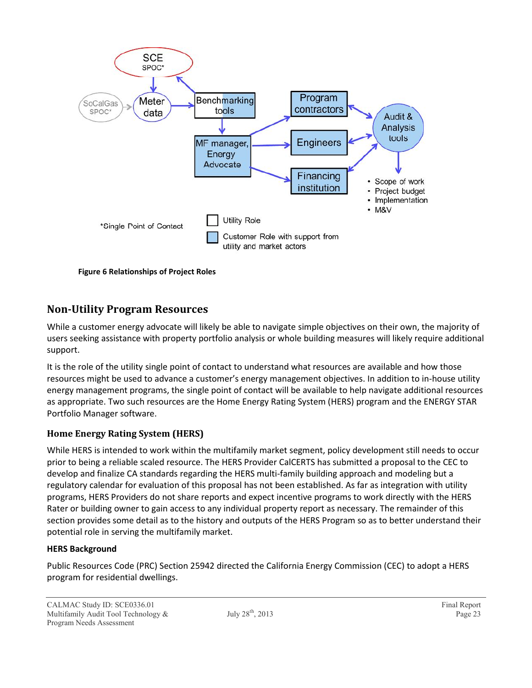

**Figure 6 Relationships of Project Roles**

### **Non-Utility Program Resources**

While a customer energy advocate will likely be able to navigate simple objectives on their own, the majority of users seeking assistance with property portfolio analysis or whole building measures will likely require additional support.

It is the role of the utility single point of contact to understand what resources are available and how those resources might be used to advance a customer's energy management objectives. In addition to in-house utility energy management programs, the single point of contact will be available to help navigate additional resources as appropriate. Two such resources are the Home Energy Rating System (HERS) program and the ENERGY STAR Portfolio Manager software.

#### **Home Energy Rating System (HERS)**

While HERS is intended to work within the multifamily market segment, policy development still needs to occur prior to being a reliable scaled resource. The HERS Provider CalCERTS has submitted a proposal to the CEC to develop and finalize CA standards regarding the HERS multi-family building approach and modeling but a regulatory calendar for evaluation of this proposal has not been established. As far as integration with utility programs, HERS Providers do not share reports and expect incentive programs to work directly with the HERS Rater or building owner to gain access to any individual property report as necessary. The remainder of this section provides some detail as to the history and outputs of the HERS Program so as to better understand their potential role in serving the multifamily market.

#### **HERS Background**

Public Resources Code (PRC) Section 25942 directed the California Energy Commission (CEC) to adopt a HERS program for residential dwellings.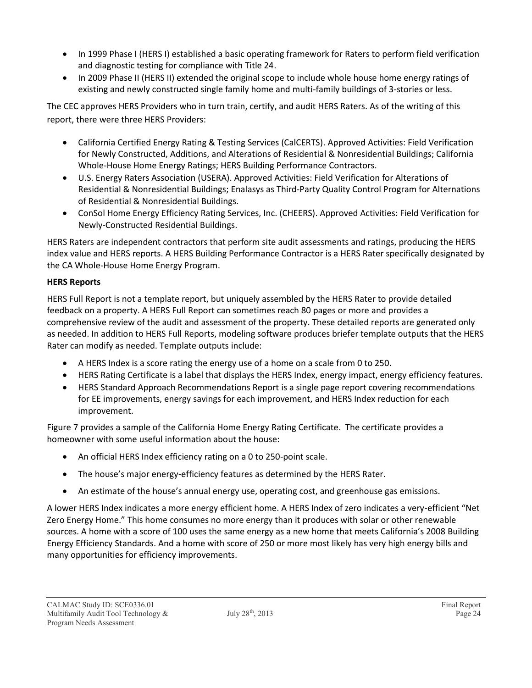- In 1999 Phase I (HERS I) established a basic operating framework for Raters to perform field verification and diagnostic testing for compliance with Title 24.
- In 2009 Phase II (HERS II) extended the original scope to include whole house home energy ratings of existing and newly constructed single family home and multi-family buildings of 3-stories or less.

The CEC approves HERS Providers who in turn train, certify, and audit HERS Raters. As of the writing of this report, there were three HERS Providers:

- California Certified Energy Rating & Testing Services (CalCERTS). Approved Activities: Field Verification for Newly Constructed, Additions, and Alterations of Residential & Nonresidential Buildings; California Whole-House Home Energy Ratings; HERS Building Performance Contractors.
- U.S. Energy Raters Association (USERA). Approved Activities: Field Verification for Alterations of Residential & Nonresidential Buildings; Enalasys as Third-Party Quality Control Program for Alternations of Residential & Nonresidential Buildings.
- ConSol Home Energy Efficiency Rating Services, Inc. (CHEERS). Approved Activities: Field Verification for Newly-Constructed Residential Buildings.

HERS Raters are independent contractors that perform site audit assessments and ratings, producing the HERS index value and HERS reports. A HERS Building Performance Contractor is a HERS Rater specifically designated by the CA Whole-House Home Energy Program.

#### **HERS Reports**

HERS Full Report is not a template report, but uniquely assembled by the HERS Rater to provide detailed feedback on a property. A HERS Full Report can sometimes reach 80 pages or more and provides a comprehensive review of the audit and assessment of the property. These detailed reports are generated only as needed. In addition to HERS Full Reports, modeling software produces briefer template outputs that the HERS Rater can modify as needed. Template outputs include:

- A HERS Index is a score rating the energy use of a home on a scale from 0 to 250.
- HERS Rating Certificate is a label that displays the HERS Index, energy impact, energy efficiency features.
- HERS Standard Approach Recommendations Report is a single page report covering recommendations for EE improvements, energy savings for each improvement, and HERS Index reduction for each improvement.

Figure 7 provides a sample of the California Home Energy Rating Certificate. The certificate provides a homeowner with some useful information about the house:

- An official HERS Index efficiency rating on a 0 to 250-point scale.
- The house's major energy-efficiency features as determined by the HERS Rater.
- An estimate of the house's annual energy use, operating cost, and greenhouse gas emissions.

A lower HERS Index indicates a more energy efficient home. A HERS Index of zero indicates a very-efficient "Net Zero Energy Home." This home consumes no more energy than it produces with solar or other renewable sources. A home with a score of 100 uses the same energy as a new home that meets California's 2008 Building Energy Efficiency Standards. And a home with score of 250 or more most likely has very high energy bills and many opportunities for efficiency improvements.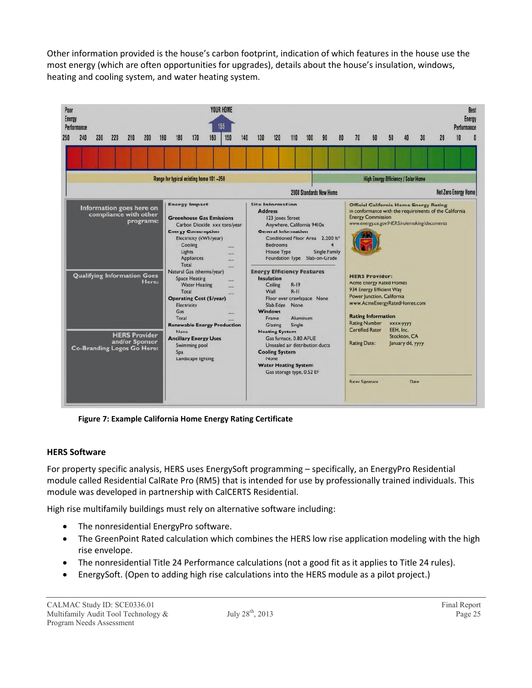Other information provided is the house's carbon footprint, indication of which features in the house use the most energy (which are often opportunities for upgrades), details about the house's insulation, windows, heating and cooling system, and water heating system.



**Figure 7: Example California Home Energy Rating Certificate**

#### **HERS Software**

For property specific analysis, HERS uses EnergySoft programming – specifically, an EnergyPro Residential module called Residential CalRate Pro (RM5) that is intended for use by professionally trained individuals. This module was developed in partnership with CalCERTS Residential.

High rise multifamily buildings must rely on alternative software including:

- The nonresidential EnergyPro software.
- The GreenPoint Rated calculation which combines the HERS low rise application modeling with the high rise envelope.
- The nonresidential Title 24 Performance calculations (not a good fit as it applies to Title 24 rules).
- EnergySoft. (Open to adding high rise calculations into the HERS module as a pilot project.)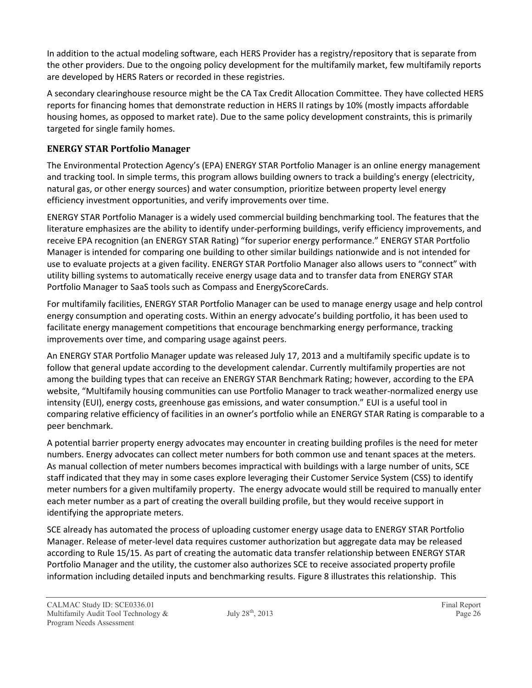In addition to the actual modeling software, each HERS Provider has a registry/repository that is separate from the other providers. Due to the ongoing policy development for the multifamily market, few multifamily reports are developed by HERS Raters or recorded in these registries.

A secondary clearinghouse resource might be the CA Tax Credit Allocation Committee. They have collected HERS reports for financing homes that demonstrate reduction in HERS II ratings by 10% (mostly impacts affordable housing homes, as opposed to market rate). Due to the same policy development constraints, this is primarily targeted for single family homes.

#### **ENERGY STAR Portfolio Manager**

The Environmental Protection Agency's (EPA) ENERGY STAR Portfolio Manager is an online energy management and tracking tool. In simple terms, this program allows building owners to track a building's energy (electricity, natural gas, or other energy sources) and water consumption, prioritize between property level energy efficiency investment opportunities, and verify improvements over time.

ENERGY STAR Portfolio Manager is a widely used commercial building benchmarking tool. The features that the literature emphasizes are the ability to identify under-performing buildings, verify efficiency improvements, and receive EPA recognition (an ENERGY STAR Rating) "for superior energy performance." ENERGY STAR Portfolio Manager is intended for comparing one building to other similar buildings nationwide and is not intended for use to evaluate projects at a given facility. ENERGY STAR Portfolio Manager also allows users to "connect" with utility billing systems to automatically receive energy usage data and to transfer data from ENERGY STAR Portfolio Manager to SaaS tools such as Compass and EnergyScoreCards.

For multifamily facilities, ENERGY STAR Portfolio Manager can be used to manage energy usage and help control energy consumption and operating costs. Within an energy advocate's building portfolio, it has been used to facilitate energy management competitions that encourage benchmarking energy performance, tracking improvements over time, and comparing usage against peers.

An ENERGY STAR Portfolio Manager update was released July 17, 2013 and a multifamily specific update is to follow that general update according to the development calendar. Currently multifamily properties are not among the building types that can receive an ENERGY STAR Benchmark Rating; however, according to the EPA website, "Multifamily housing communities can use Portfolio Manager to track weather-normalized energy use intensity (EUI), energy costs, greenhouse gas emissions, and water consumption." EUI is a useful tool in comparing relative efficiency of facilities in an owner's portfolio while an ENERGY STAR Rating is comparable to a peer benchmark.

A potential barrier property energy advocates may encounter in creating building profiles is the need for meter numbers. Energy advocates can collect meter numbers for both common use and tenant spaces at the meters. As manual collection of meter numbers becomes impractical with buildings with a large number of units, SCE staff indicated that they may in some cases explore leveraging their Customer Service System (CSS) to identify meter numbers for a given multifamily property. The energy advocate would still be required to manually enter each meter number as a part of creating the overall building profile, but they would receive support in identifying the appropriate meters.

SCE already has automated the process of uploading customer energy usage data to ENERGY STAR Portfolio Manager. Release of meter-level data requires customer authorization but aggregate data may be released according to Rule 15/15. As part of creating the automatic data transfer relationship between ENERGY STAR Portfolio Manager and the utility, the customer also authorizes SCE to receive associated property profile information including detailed inputs and benchmarking results. Figure 8 illustrates this relationship. This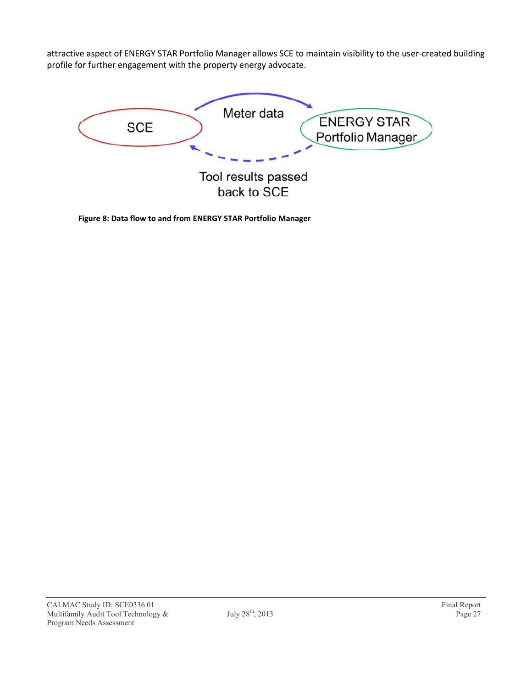attractive aspect of ENERGY STAR Portfolio Manager allows SCE to maintain visibility to the user-created building profile for further engagement with the property energy advocate.



**Figure 8: Data flow to and from ENERGY STAR Portfolio Manager**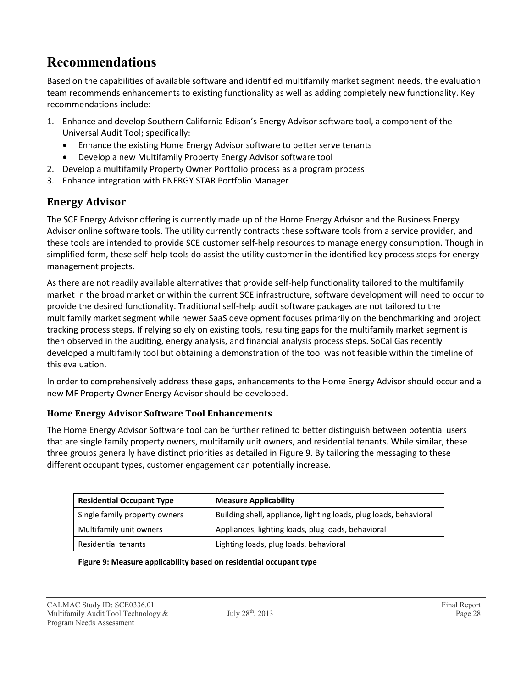## **Recommendations**

Based on the capabilities of available software and identified multifamily market segment needs, the evaluation team recommends enhancements to existing functionality as well as adding completely new functionality. Key recommendations include:

- 1. Enhance and develop Southern California Edison's Energy Advisor software tool, a component of the Universal Audit Tool; specifically:
	- Enhance the existing Home Energy Advisor software to better serve tenants
	- Develop a new Multifamily Property Energy Advisor software tool
- 2. Develop a multifamily Property Owner Portfolio process as a program process
- 3. Enhance integration with ENERGY STAR Portfolio Manager

### **Energy Advisor**

The SCE Energy Advisor offering is currently made up of the Home Energy Advisor and the Business Energy Advisor online software tools. The utility currently contracts these software tools from a service provider, and these tools are intended to provide SCE customer self-help resources to manage energy consumption. Though in simplified form, these self-help tools do assist the utility customer in the identified key process steps for energy management projects.

As there are not readily available alternatives that provide self-help functionality tailored to the multifamily market in the broad market or within the current SCE infrastructure, software development will need to occur to provide the desired functionality. Traditional self-help audit software packages are not tailored to the multifamily market segment while newer SaaS development focuses primarily on the benchmarking and project tracking process steps. If relying solely on existing tools, resulting gaps for the multifamily market segment is then observed in the auditing, energy analysis, and financial analysis process steps. SoCal Gas recently developed a multifamily tool but obtaining a demonstration of the tool was not feasible within the timeline of this evaluation.

In order to comprehensively address these gaps, enhancements to the Home Energy Advisor should occur and a new MF Property Owner Energy Advisor should be developed.

#### **Home Energy Advisor Software Tool Enhancements**

The Home Energy Advisor Software tool can be further refined to better distinguish between potential users that are single family property owners, multifamily unit owners, and residential tenants. While similar, these three groups generally have distinct priorities as detailed in Figure 9. By tailoring the messaging to these different occupant types, customer engagement can potentially increase.

| <b>Residential Occupant Type</b> | <b>Measure Applicability</b>                                      |
|----------------------------------|-------------------------------------------------------------------|
| Single family property owners    | Building shell, appliance, lighting loads, plug loads, behavioral |
| Multifamily unit owners          | Appliances, lighting loads, plug loads, behavioral                |
| Residential tenants              | Lighting loads, plug loads, behavioral                            |

#### **Figure 9: Measure applicability based on residential occupant type**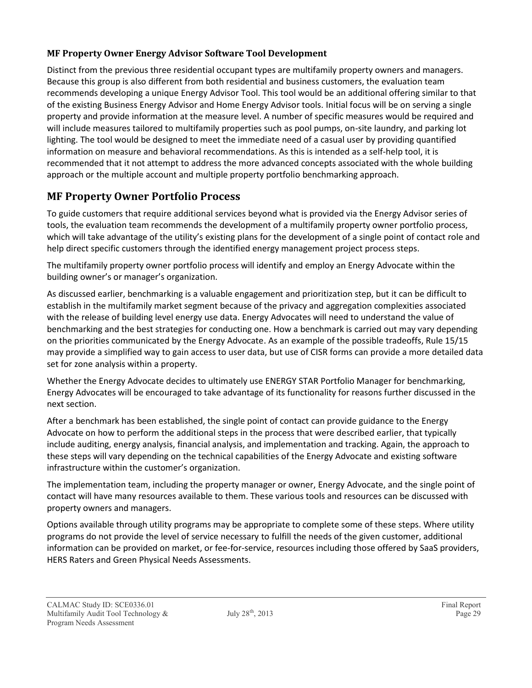#### **MF Property Owner Energy Advisor Software Tool Development**

Distinct from the previous three residential occupant types are multifamily property owners and managers. Because this group is also different from both residential and business customers, the evaluation team recommends developing a unique Energy Advisor Tool. This tool would be an additional offering similar to that of the existing Business Energy Advisor and Home Energy Advisor tools. Initial focus will be on serving a single property and provide information at the measure level. A number of specific measures would be required and will include measures tailored to multifamily properties such as pool pumps, on-site laundry, and parking lot lighting. The tool would be designed to meet the immediate need of a casual user by providing quantified information on measure and behavioral recommendations. As this is intended as a self-help tool, it is recommended that it not attempt to address the more advanced concepts associated with the whole building approach or the multiple account and multiple property portfolio benchmarking approach.

### **MF Property Owner Portfolio Process**

To guide customers that require additional services beyond what is provided via the Energy Advisor series of tools, the evaluation team recommends the development of a multifamily property owner portfolio process, which will take advantage of the utility's existing plans for the development of a single point of contact role and help direct specific customers through the identified energy management project process steps.

The multifamily property owner portfolio process will identify and employ an Energy Advocate within the building owner's or manager's organization.

As discussed earlier, benchmarking is a valuable engagement and prioritization step, but it can be difficult to establish in the multifamily market segment because of the privacy and aggregation complexities associated with the release of building level energy use data. Energy Advocates will need to understand the value of benchmarking and the best strategies for conducting one. How a benchmark is carried out may vary depending on the priorities communicated by the Energy Advocate. As an example of the possible tradeoffs, Rule 15/15 may provide a simplified way to gain access to user data, but use of CISR forms can provide a more detailed data set for zone analysis within a property.

Whether the Energy Advocate decides to ultimately use ENERGY STAR Portfolio Manager for benchmarking, Energy Advocates will be encouraged to take advantage of its functionality for reasons further discussed in the next section.

After a benchmark has been established, the single point of contact can provide guidance to the Energy Advocate on how to perform the additional steps in the process that were described earlier, that typically include auditing, energy analysis, financial analysis, and implementation and tracking. Again, the approach to these steps will vary depending on the technical capabilities of the Energy Advocate and existing software infrastructure within the customer's organization.

The implementation team, including the property manager or owner, Energy Advocate, and the single point of contact will have many resources available to them. These various tools and resources can be discussed with property owners and managers.

Options available through utility programs may be appropriate to complete some of these steps. Where utility programs do not provide the level of service necessary to fulfill the needs of the given customer, additional information can be provided on market, or fee-for-service, resources including those offered by SaaS providers, HERS Raters and Green Physical Needs Assessments.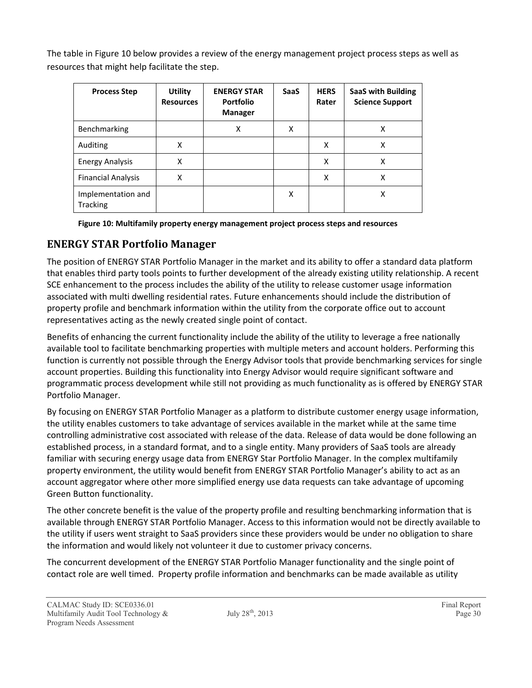The table in Figure 10 below provides a review of the energy management project process steps as well as resources that might help facilitate the step.

| <b>Process Step</b>            | <b>Utility</b><br><b>Resources</b> | <b>ENERGY STAR</b><br><b>Portfolio</b><br><b>Manager</b> | <b>SaaS</b> | <b>HERS</b><br>Rater | <b>SaaS with Building</b><br><b>Science Support</b> |
|--------------------------------|------------------------------------|----------------------------------------------------------|-------------|----------------------|-----------------------------------------------------|
| Benchmarking                   |                                    | x                                                        | x           |                      | x                                                   |
| Auditing                       | X                                  |                                                          |             | x                    | x                                                   |
| <b>Energy Analysis</b>         | X                                  |                                                          |             | X                    | x                                                   |
| <b>Financial Analysis</b>      | X                                  |                                                          |             | x                    | x                                                   |
| Implementation and<br>Tracking |                                    |                                                          | X           |                      | Χ                                                   |

**Figure 10: Multifamily property energy management project process steps and resources**

### **ENERGY STAR Portfolio Manager**

The position of ENERGY STAR Portfolio Manager in the market and its ability to offer a standard data platform that enables third party tools points to further development of the already existing utility relationship. A recent SCE enhancement to the process includes the ability of the utility to release customer usage information associated with multi dwelling residential rates. Future enhancements should include the distribution of property profile and benchmark information within the utility from the corporate office out to account representatives acting as the newly created single point of contact.

Benefits of enhancing the current functionality include the ability of the utility to leverage a free nationally available tool to facilitate benchmarking properties with multiple meters and account holders. Performing this function is currently not possible through the Energy Advisor tools that provide benchmarking services for single account properties. Building this functionality into Energy Advisor would require significant software and programmatic process development while still not providing as much functionality as is offered by ENERGY STAR Portfolio Manager.

By focusing on ENERGY STAR Portfolio Manager as a platform to distribute customer energy usage information, the utility enables customers to take advantage of services available in the market while at the same time controlling administrative cost associated with release of the data. Release of data would be done following an established process, in a standard format, and to a single entity. Many providers of SaaS tools are already familiar with securing energy usage data from ENERGY Star Portfolio Manager. In the complex multifamily property environment, the utility would benefit from ENERGY STAR Portfolio Manager's ability to act as an account aggregator where other more simplified energy use data requests can take advantage of upcoming Green Button functionality.

The other concrete benefit is the value of the property profile and resulting benchmarking information that is available through ENERGY STAR Portfolio Manager. Access to this information would not be directly available to the utility if users went straight to SaaS providers since these providers would be under no obligation to share the information and would likely not volunteer it due to customer privacy concerns.

The concurrent development of the ENERGY STAR Portfolio Manager functionality and the single point of contact role are well timed. Property profile information and benchmarks can be made available as utility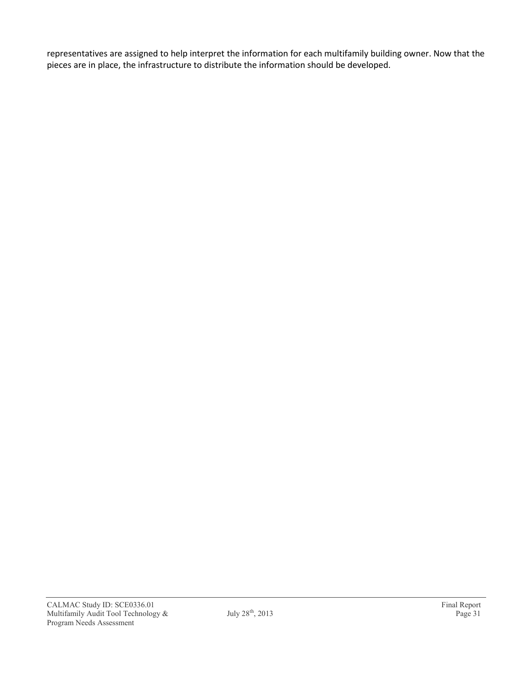representatives are assigned to help interpret the information for each multifamily building owner. Now that the pieces are in place, the infrastructure to distribute the information should be developed.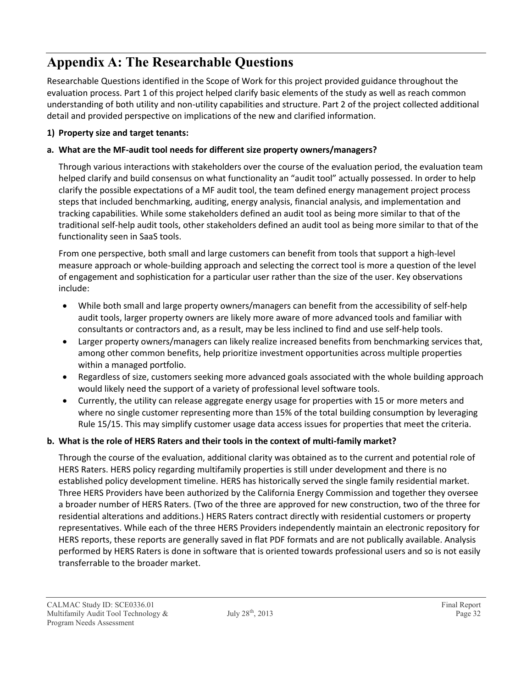## **Appendix A: The Researchable Questions**

Researchable Questions identified in the Scope of Work for this project provided guidance throughout the evaluation process. Part 1 of this project helped clarify basic elements of the study as well as reach common understanding of both utility and non-utility capabilities and structure. Part 2 of the project collected additional detail and provided perspective on implications of the new and clarified information.

#### **1) Property size and target tenants:**

#### **a. What are the MF-audit tool needs for different size property owners/managers?**

Through various interactions with stakeholders over the course of the evaluation period, the evaluation team helped clarify and build consensus on what functionality an "audit tool" actually possessed. In order to help clarify the possible expectations of a MF audit tool, the team defined energy management project process steps that included benchmarking, auditing, energy analysis, financial analysis, and implementation and tracking capabilities. While some stakeholders defined an audit tool as being more similar to that of the traditional self-help audit tools, other stakeholders defined an audit tool as being more similar to that of the functionality seen in SaaS tools.

From one perspective, both small and large customers can benefit from tools that support a high-level measure approach or whole-building approach and selecting the correct tool is more a question of the level of engagement and sophistication for a particular user rather than the size of the user. Key observations include:

- While both small and large property owners/managers can benefit from the accessibility of self-help audit tools, larger property owners are likely more aware of more advanced tools and familiar with consultants or contractors and, as a result, may be less inclined to find and use self-help tools.
- Larger property owners/managers can likely realize increased benefits from benchmarking services that, among other common benefits, help prioritize investment opportunities across multiple properties within a managed portfolio.
- Regardless of size, customers seeking more advanced goals associated with the whole building approach would likely need the support of a variety of professional level software tools.
- Currently, the utility can release aggregate energy usage for properties with 15 or more meters and where no single customer representing more than 15% of the total building consumption by leveraging Rule 15/15. This may simplify customer usage data access issues for properties that meet the criteria.

#### **b. What is the role of HERS Raters and their tools in the context of multi-family market?**

Through the course of the evaluation, additional clarity was obtained as to the current and potential role of HERS Raters. HERS policy regarding multifamily properties is still under development and there is no established policy development timeline. HERS has historically served the single family residential market. Three HERS Providers have been authorized by the California Energy Commission and together they oversee a broader number of HERS Raters. (Two of the three are approved for new construction, two of the three for residential alterations and additions.) HERS Raters contract directly with residential customers or property representatives. While each of the three HERS Providers independently maintain an electronic repository for HERS reports, these reports are generally saved in flat PDF formats and are not publically available. Analysis performed by HERS Raters is done in software that is oriented towards professional users and so is not easily transferrable to the broader market.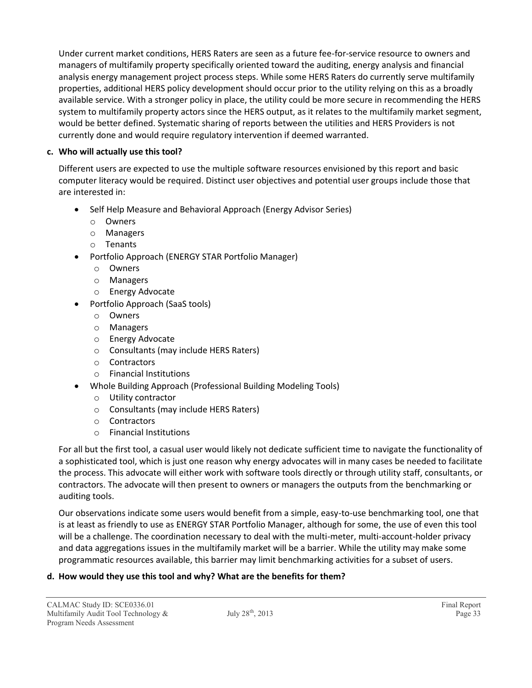Under current market conditions, HERS Raters are seen as a future fee-for-service resource to owners and managers of multifamily property specifically oriented toward the auditing, energy analysis and financial analysis energy management project process steps. While some HERS Raters do currently serve multifamily properties, additional HERS policy development should occur prior to the utility relying on this as a broadly available service. With a stronger policy in place, the utility could be more secure in recommending the HERS system to multifamily property actors since the HERS output, as it relates to the multifamily market segment, would be better defined. Systematic sharing of reports between the utilities and HERS Providers is not currently done and would require regulatory intervention if deemed warranted.

#### **c. Who will actually use this tool?**

Different users are expected to use the multiple software resources envisioned by this report and basic computer literacy would be required. Distinct user objectives and potential user groups include those that are interested in:

- Self Help Measure and Behavioral Approach (Energy Advisor Series)
	- o Owners
	- o Managers
	- o Tenants
- Portfolio Approach (ENERGY STAR Portfolio Manager)
	- o Owners
	- o Managers
	- o Energy Advocate
- Portfolio Approach (SaaS tools)
	- o Owners
	- o Managers
	- o Energy Advocate
	- o Consultants (may include HERS Raters)
	- o Contractors
	- o Financial Institutions
- Whole Building Approach (Professional Building Modeling Tools)
	- o Utility contractor
	- o Consultants (may include HERS Raters)
	- o Contractors
	- o Financial Institutions

For all but the first tool, a casual user would likely not dedicate sufficient time to navigate the functionality of a sophisticated tool, which is just one reason why energy advocates will in many cases be needed to facilitate the process. This advocate will either work with software tools directly or through utility staff, consultants, or contractors. The advocate will then present to owners or managers the outputs from the benchmarking or auditing tools.

Our observations indicate some users would benefit from a simple, easy-to-use benchmarking tool, one that is at least as friendly to use as ENERGY STAR Portfolio Manager, although for some, the use of even this tool will be a challenge. The coordination necessary to deal with the multi-meter, multi-account-holder privacy and data aggregations issues in the multifamily market will be a barrier. While the utility may make some programmatic resources available, this barrier may limit benchmarking activities for a subset of users.

#### **d. How would they use this tool and why? What are the benefits for them?**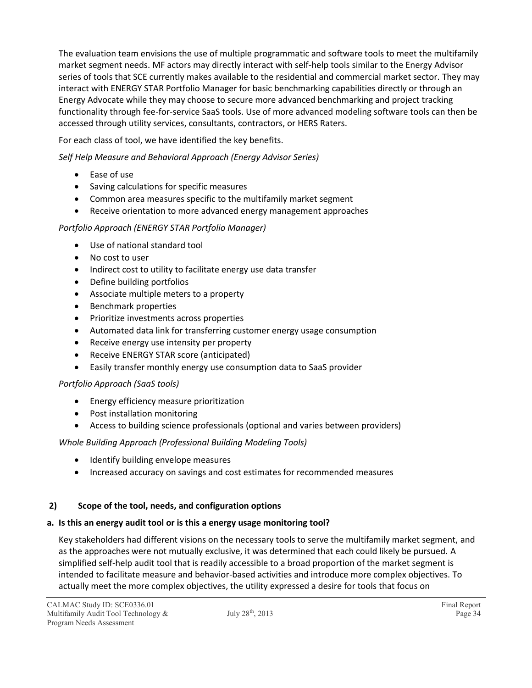The evaluation team envisions the use of multiple programmatic and software tools to meet the multifamily market segment needs. MF actors may directly interact with self-help tools similar to the Energy Advisor series of tools that SCE currently makes available to the residential and commercial market sector. They may interact with ENERGY STAR Portfolio Manager for basic benchmarking capabilities directly or through an Energy Advocate while they may choose to secure more advanced benchmarking and project tracking functionality through fee-for-service SaaS tools. Use of more advanced modeling software tools can then be accessed through utility services, consultants, contractors, or HERS Raters.

For each class of tool, we have identified the key benefits.

*Self Help Measure and Behavioral Approach (Energy Advisor Series)*

- Ease of use
- Saving calculations for specific measures
- Common area measures specific to the multifamily market segment
- Receive orientation to more advanced energy management approaches

#### *Portfolio Approach (ENERGY STAR Portfolio Manager)*

- Use of national standard tool
- No cost to user
- Indirect cost to utility to facilitate energy use data transfer
- Define building portfolios
- Associate multiple meters to a property
- Benchmark properties
- Prioritize investments across properties
- Automated data link for transferring customer energy usage consumption
- Receive energy use intensity per property
- Receive ENERGY STAR score (anticipated)
- Easily transfer monthly energy use consumption data to SaaS provider

#### *Portfolio Approach (SaaS tools)*

- Energy efficiency measure prioritization
- Post installation monitoring
- Access to building science professionals (optional and varies between providers)

#### *Whole Building Approach (Professional Building Modeling Tools)*

- Identify building envelope measures
- Increased accuracy on savings and cost estimates for recommended measures

#### **2) Scope of the tool, needs, and configuration options**

#### **a. Is this an energy audit tool or is this a energy usage monitoring tool?**

Key stakeholders had different visions on the necessary tools to serve the multifamily market segment, and as the approaches were not mutually exclusive, it was determined that each could likely be pursued. A simplified self-help audit tool that is readily accessible to a broad proportion of the market segment is intended to facilitate measure and behavior-based activities and introduce more complex objectives. To actually meet the more complex objectives, the utility expressed a desire for tools that focus on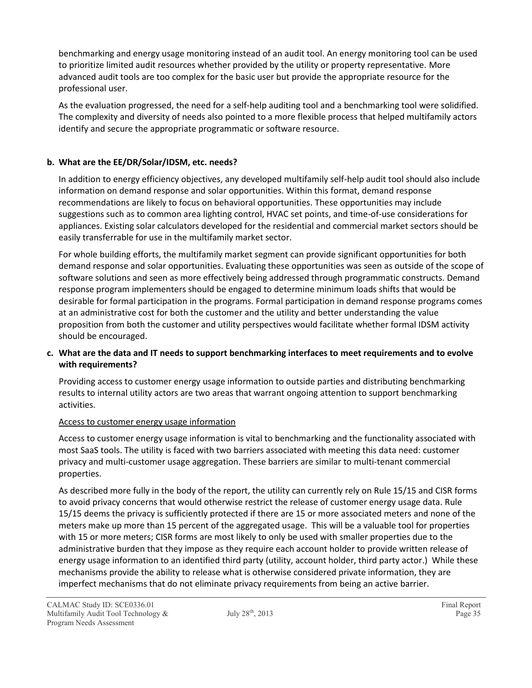benchmarking and energy usage monitoring instead of an audit tool. An energy monitoring tool can be used to prioritize limited audit resources whether provided by the utility or property representative. More advanced audit tools are too complex for the basic user but provide the appropriate resource for the professional user.

As the evaluation progressed, the need for a self-help auditing tool and a benchmarking tool were solidified. The complexity and diversity of needs also pointed to a more flexible process that helped multifamily actors identify and secure the appropriate programmatic or software resource.

#### **b. What are the EE/DR/Solar/IDSM, etc. needs?**

In addition to energy efficiency objectives, any developed multifamily self-help audit tool should also include information on demand response and solar opportunities. Within this format, demand response recommendations are likely to focus on behavioral opportunities. These opportunities may include suggestions such as to common area lighting control, HVAC set points, and time-of-use considerations for appliances. Existing solar calculators developed for the residential and commercial market sectors should be easily transferrable for use in the multifamily market sector.

For whole building efforts, the multifamily market segment can provide significant opportunities for both demand response and solar opportunities. Evaluating these opportunities was seen as outside of the scope of software solutions and seen as more effectively being addressed through programmatic constructs. Demand response program implementers should be engaged to determine minimum loads shifts that would be desirable for formal participation in the programs. Formal participation in demand response programs comes at an administrative cost for both the customer and the utility and better understanding the value proposition from both the customer and utility perspectives would facilitate whether formal IDSM activity should be encouraged.

#### **c. What are the data and IT needs to support benchmarking interfaces to meet requirements and to evolve with requirements?**

Providing access to customer energy usage information to outside parties and distributing benchmarking results to internal utility actors are two areas that warrant ongoing attention to support benchmarking activities.

#### Access to customer energy usage information

Access to customer energy usage information is vital to benchmarking and the functionality associated with most SaaS tools. The utility is faced with two barriers associated with meeting this data need: customer privacy and multi-customer usage aggregation. These barriers are similar to multi-tenant commercial properties.

As described more fully in the body of the report, the utility can currently rely on Rule 15/15 and CISR forms to avoid privacy concerns that would otherwise restrict the release of customer energy usage data. Rule 15/15 deems the privacy is sufficiently protected if there are 15 or more associated meters and none of the meters make up more than 15 percent of the aggregated usage. This will be a valuable tool for properties with 15 or more meters; CISR forms are most likely to only be used with smaller properties due to the administrative burden that they impose as they require each account holder to provide written release of energy usage information to an identified third party (utility, account holder, third party actor.) While these mechanisms provide the ability to release what is otherwise considered private information, they are imperfect mechanisms that do not eliminate privacy requirements from being an active barrier.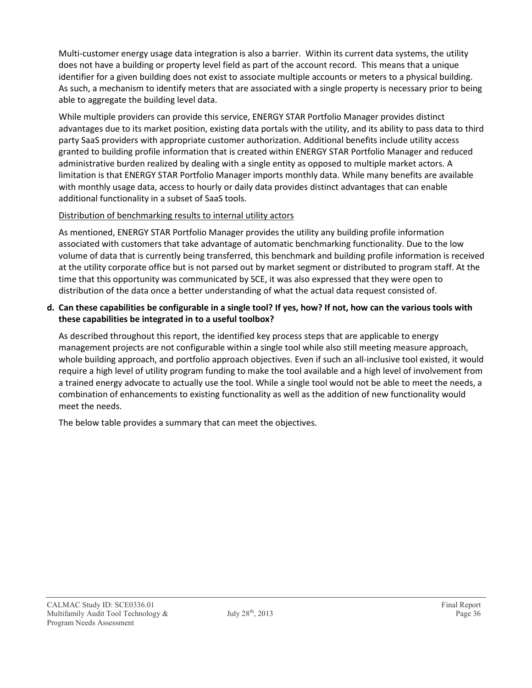Multi-customer energy usage data integration is also a barrier. Within its current data systems, the utility does not have a building or property level field as part of the account record. This means that a unique identifier for a given building does not exist to associate multiple accounts or meters to a physical building. As such, a mechanism to identify meters that are associated with a single property is necessary prior to being able to aggregate the building level data.

While multiple providers can provide this service, ENERGY STAR Portfolio Manager provides distinct advantages due to its market position, existing data portals with the utility, and its ability to pass data to third party SaaS providers with appropriate customer authorization. Additional benefits include utility access granted to building profile information that is created within ENERGY STAR Portfolio Manager and reduced administrative burden realized by dealing with a single entity as opposed to multiple market actors. A limitation is that ENERGY STAR Portfolio Manager imports monthly data. While many benefits are available with monthly usage data, access to hourly or daily data provides distinct advantages that can enable additional functionality in a subset of SaaS tools.

#### Distribution of benchmarking results to internal utility actors

As mentioned, ENERGY STAR Portfolio Manager provides the utility any building profile information associated with customers that take advantage of automatic benchmarking functionality. Due to the low volume of data that is currently being transferred, this benchmark and building profile information is received at the utility corporate office but is not parsed out by market segment or distributed to program staff. At the time that this opportunity was communicated by SCE, it was also expressed that they were open to distribution of the data once a better understanding of what the actual data request consisted of.

#### **d. Can these capabilities be configurable in a single tool? If yes, how? If not, how can the various tools with these capabilities be integrated in to a useful toolbox?**

As described throughout this report, the identified key process steps that are applicable to energy management projects are not configurable within a single tool while also still meeting measure approach, whole building approach, and portfolio approach objectives. Even if such an all-inclusive tool existed, it would require a high level of utility program funding to make the tool available and a high level of involvement from a trained energy advocate to actually use the tool. While a single tool would not be able to meet the needs, a combination of enhancements to existing functionality as well as the addition of new functionality would meet the needs.

The below table provides a summary that can meet the objectives.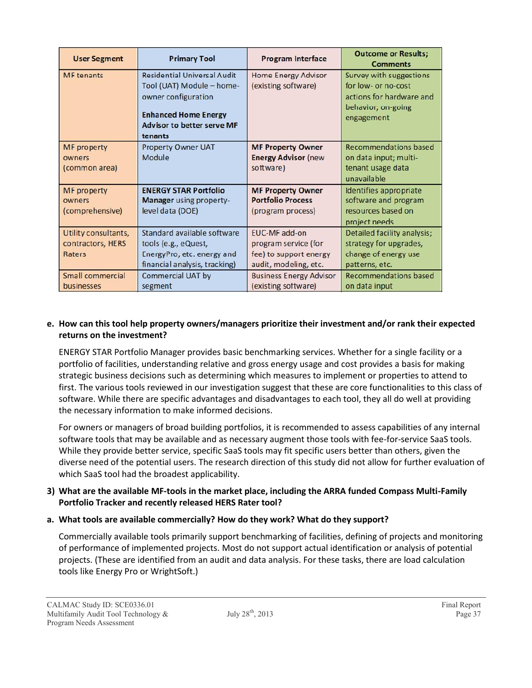| <b>User Segment</b>                                 | <b>Primary Tool</b>                                                                                                                                                   | <b>Program Interface</b>                                                                 | <b>Outcome or Results;</b><br><b>Comments</b>                                                                  |
|-----------------------------------------------------|-----------------------------------------------------------------------------------------------------------------------------------------------------------------------|------------------------------------------------------------------------------------------|----------------------------------------------------------------------------------------------------------------|
| <b>MF</b> tenants                                   | <b>Residential Universal Audit</b><br>Tool (UAT) Module - home-<br>owner configuration<br><b>Enhanced Home Energy</b><br><b>Advisor to better serve MF</b><br>tenants | <b>Home Energy Advisor</b><br>(existing software)                                        | Survey with suggestions<br>for low- or no-cost<br>actions for hardware and<br>behavior; on-going<br>engagement |
| <b>MF</b> property<br>owners<br>(common area)       | <b>Property Owner UAT</b><br>Module                                                                                                                                   | <b>MF Property Owner</b><br><b>Energy Advisor (new)</b><br>software)                     | <b>Recommendations based</b><br>on data input; multi-<br>tenant usage data<br>unavailable                      |
| <b>MF</b> property<br>owners<br>(comprehensive)     | <b>ENERGY STAR Portfolio</b><br><b>Manager</b> using property-<br>level data (DOE)                                                                                    | <b>MF Property Owner</b><br><b>Portfolio Process</b><br>(program process)                | Identifies appropriate<br>software and program<br>resources based on<br>project needs                          |
| Utility consultants,<br>contractors, HERS<br>Raters | Standard available software<br>tools (e.g., eQuest,<br>EnergyPro, etc. energy and<br>financial analysis, tracking)                                                    | EUC-MF add-on<br>program service (for<br>fee) to support energy<br>audit, modeling, etc. | Detailed facility analysis;<br>strategy for upgrades,<br>change of energy use<br>patterns, etc.                |
| Small commercial<br>businesses                      | <b>Commercial UAT by</b><br>segment                                                                                                                                   | <b>Business Energy Advisor</b><br>(existing software)                                    | Recommendations based<br>on data input                                                                         |

#### **e. How can this tool help property owners/managers prioritize their investment and/or rank their expected returns on the investment?**

ENERGY STAR Portfolio Manager provides basic benchmarking services. Whether for a single facility or a portfolio of facilities, understanding relative and gross energy usage and cost provides a basis for making strategic business decisions such as determining which measures to implement or properties to attend to first. The various tools reviewed in our investigation suggest that these are core functionalities to this class of software. While there are specific advantages and disadvantages to each tool, they all do well at providing the necessary information to make informed decisions.

For owners or managers of broad building portfolios, it is recommended to assess capabilities of any internal software tools that may be available and as necessary augment those tools with fee-for-service SaaS tools. While they provide better service, specific SaaS tools may fit specific users better than others, given the diverse need of the potential users. The research direction of this study did not allow for further evaluation of which SaaS tool had the broadest applicability.

#### **3) What are the available MF-tools in the market place, including the ARRA funded Compass Multi-Family Portfolio Tracker and recently released HERS Rater tool?**

#### **a. What tools are available commercially? How do they work? What do they support?**

Commercially available tools primarily support benchmarking of facilities, defining of projects and monitoring of performance of implemented projects. Most do not support actual identification or analysis of potential projects. (These are identified from an audit and data analysis. For these tasks, there are load calculation tools like Energy Pro or WrightSoft.)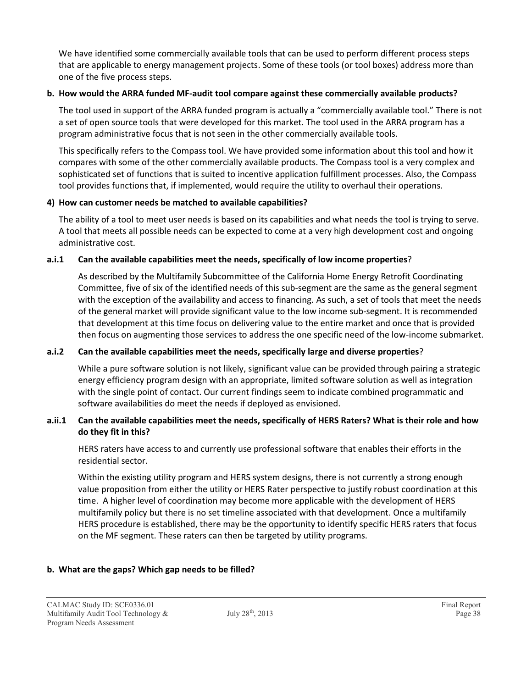We have identified some commercially available tools that can be used to perform different process steps that are applicable to energy management projects. Some of these tools (or tool boxes) address more than one of the five process steps.

#### **b. How would the ARRA funded MF-audit tool compare against these commercially available products?**

The tool used in support of the ARRA funded program is actually a "commercially available tool." There is not a set of open source tools that were developed for this market. The tool used in the ARRA program has a program administrative focus that is not seen in the other commercially available tools.

This specifically refers to the Compass tool. We have provided some information about this tool and how it compares with some of the other commercially available products. The Compass tool is a very complex and sophisticated set of functions that is suited to incentive application fulfillment processes. Also, the Compass tool provides functions that, if implemented, would require the utility to overhaul their operations.

#### **4) How can customer needs be matched to available capabilities?**

The ability of a tool to meet user needs is based on its capabilities and what needs the tool is trying to serve. A tool that meets all possible needs can be expected to come at a very high development cost and ongoing administrative cost.

#### **a.i.1 Can the available capabilities meet the needs, specifically of low income properties**?

As described by the Multifamily Subcommittee of the California Home Energy Retrofit Coordinating Committee, five of six of the identified needs of this sub-segment are the same as the general segment with the exception of the availability and access to financing. As such, a set of tools that meet the needs of the general market will provide significant value to the low income sub-segment. It is recommended that development at this time focus on delivering value to the entire market and once that is provided then focus on augmenting those services to address the one specific need of the low-income submarket.

#### **a.i.2 Can the available capabilities meet the needs, specifically large and diverse properties**?

While a pure software solution is not likely, significant value can be provided through pairing a strategic energy efficiency program design with an appropriate, limited software solution as well as integration with the single point of contact. Our current findings seem to indicate combined programmatic and software availabilities do meet the needs if deployed as envisioned.

#### **a.ii.1 Can the available capabilities meet the needs, specifically of HERS Raters? What is their role and how do they fit in this?**

HERS raters have access to and currently use professional software that enables their efforts in the residential sector.

Within the existing utility program and HERS system designs, there is not currently a strong enough value proposition from either the utility or HERS Rater perspective to justify robust coordination at this time. A higher level of coordination may become more applicable with the development of HERS multifamily policy but there is no set timeline associated with that development. Once a multifamily HERS procedure is established, there may be the opportunity to identify specific HERS raters that focus on the MF segment. These raters can then be targeted by utility programs.

#### **b. What are the gaps? Which gap needs to be filled?**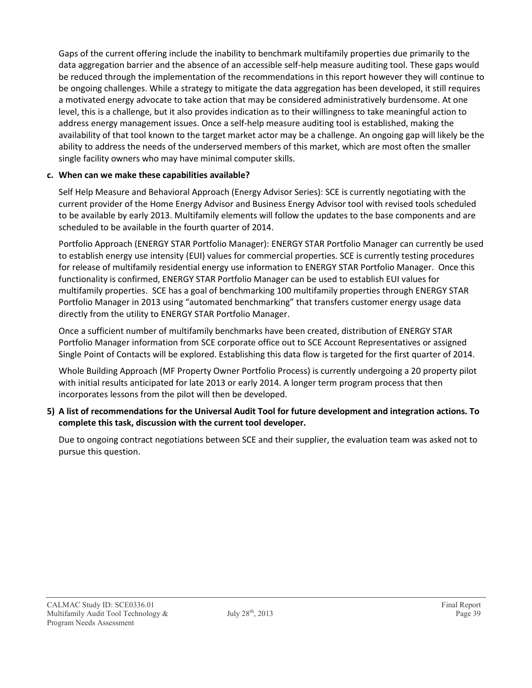Gaps of the current offering include the inability to benchmark multifamily properties due primarily to the data aggregation barrier and the absence of an accessible self-help measure auditing tool. These gaps would be reduced through the implementation of the recommendations in this report however they will continue to be ongoing challenges. While a strategy to mitigate the data aggregation has been developed, it still requires a motivated energy advocate to take action that may be considered administratively burdensome. At one level, this is a challenge, but it also provides indication as to their willingness to take meaningful action to address energy management issues. Once a self-help measure auditing tool is established, making the availability of that tool known to the target market actor may be a challenge. An ongoing gap will likely be the ability to address the needs of the underserved members of this market, which are most often the smaller single facility owners who may have minimal computer skills.

#### **c. When can we make these capabilities available?**

Self Help Measure and Behavioral Approach (Energy Advisor Series): SCE is currently negotiating with the current provider of the Home Energy Advisor and Business Energy Advisor tool with revised tools scheduled to be available by early 2013. Multifamily elements will follow the updates to the base components and are scheduled to be available in the fourth quarter of 2014.

Portfolio Approach (ENERGY STAR Portfolio Manager): ENERGY STAR Portfolio Manager can currently be used to establish energy use intensity (EUI) values for commercial properties. SCE is currently testing procedures for release of multifamily residential energy use information to ENERGY STAR Portfolio Manager. Once this functionality is confirmed, ENERGY STAR Portfolio Manager can be used to establish EUI values for multifamily properties. SCE has a goal of benchmarking 100 multifamily properties through ENERGY STAR Portfolio Manager in 2013 using "automated benchmarking" that transfers customer energy usage data directly from the utility to ENERGY STAR Portfolio Manager.

Once a sufficient number of multifamily benchmarks have been created, distribution of ENERGY STAR Portfolio Manager information from SCE corporate office out to SCE Account Representatives or assigned Single Point of Contacts will be explored. Establishing this data flow is targeted for the first quarter of 2014.

Whole Building Approach (MF Property Owner Portfolio Process) is currently undergoing a 20 property pilot with initial results anticipated for late 2013 or early 2014. A longer term program process that then incorporates lessons from the pilot will then be developed.

**5) A list of recommendations for the Universal Audit Tool for future development and integration actions. To complete this task, discussion with the current tool developer.**

Due to ongoing contract negotiations between SCE and their supplier, the evaluation team was asked not to pursue this question.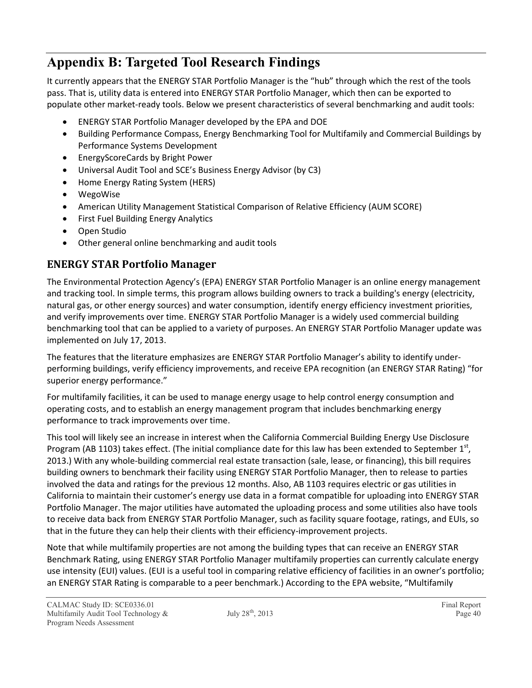## **Appendix B: Targeted Tool Research Findings**

It currently appears that the ENERGY STAR Portfolio Manager is the "hub" through which the rest of the tools pass. That is, utility data is entered into ENERGY STAR Portfolio Manager, which then can be exported to populate other market-ready tools. Below we present characteristics of several benchmarking and audit tools:

- ENERGY STAR Portfolio Manager developed by the EPA and DOE
- Building Performance Compass, Energy Benchmarking Tool for Multifamily and Commercial Buildings by Performance Systems Development
- EnergyScoreCards by Bright Power
- Universal Audit Tool and SCE's Business Energy Advisor (by C3)
- Home Energy Rating System (HERS)
- WegoWise
- American Utility Management Statistical Comparison of Relative Efficiency (AUM SCORE)
- First Fuel Building Energy Analytics
- Open Studio
- Other general online benchmarking and audit tools

### **ENERGY STAR Portfolio Manager**

The Environmental Protection Agency's (EPA) ENERGY STAR Portfolio Manager is an online energy management and tracking tool. In simple terms, this program allows building owners to track a building's energy (electricity, natural gas, or other energy sources) and water consumption, identify energy efficiency investment priorities, and verify improvements over time. ENERGY STAR Portfolio Manager is a widely used commercial building benchmarking tool that can be applied to a variety of purposes. An ENERGY STAR Portfolio Manager update was implemented on July 17, 2013.

The features that the literature emphasizes are ENERGY STAR Portfolio Manager's ability to identify underperforming buildings, verify efficiency improvements, and receive EPA recognition (an ENERGY STAR Rating) "for superior energy performance."

For multifamily facilities, it can be used to manage energy usage to help control energy consumption and operating costs, and to establish an energy management program that includes benchmarking energy performance to track improvements over time.

This tool will likely see an increase in interest when the California Commercial Building Energy Use Disclosure Program (AB 1103) takes effect. (The initial compliance date for this law has been extended to September 1<sup>st</sup>, 2013.) With any whole-building commercial real estate transaction (sale, lease, or financing), this bill requires building owners to benchmark their facility using ENERGY STAR Portfolio Manager, then to release to parties involved the data and ratings for the previous 12 months. Also, AB 1103 requires electric or gas utilities in California to maintain their customer's energy use data in a format compatible for uploading into ENERGY STAR Portfolio Manager. The major utilities have automated the uploading process and some utilities also have tools to receive data back from ENERGY STAR Portfolio Manager, such as facility square footage, ratings, and EUIs, so that in the future they can help their clients with their efficiency-improvement projects.

Note that while multifamily properties are not among the building types that can receive an ENERGY STAR Benchmark Rating, using ENERGY STAR Portfolio Manager multifamily properties can currently calculate energy use intensity (EUI) values. (EUI is a useful tool in comparing relative efficiency of facilities in an owner's portfolio; an ENERGY STAR Rating is comparable to a peer benchmark.) According to the EPA website, "Multifamily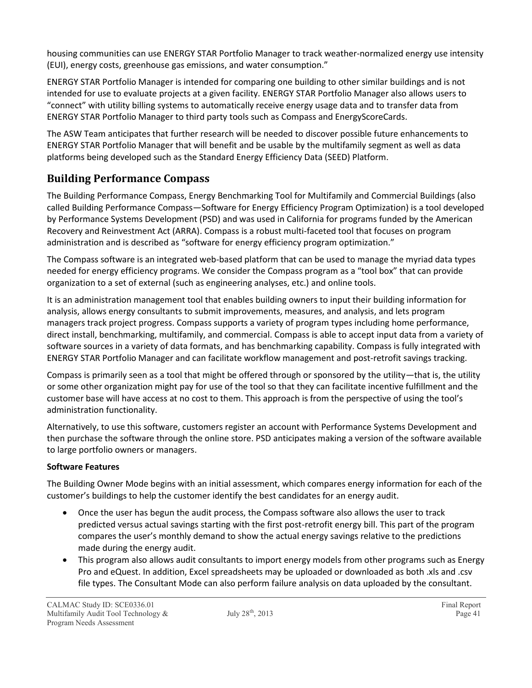housing communities can use ENERGY STAR Portfolio Manager to track weather-normalized energy use intensity (EUI), energy costs, greenhouse gas emissions, and water consumption."

ENERGY STAR Portfolio Manager is intended for comparing one building to other similar buildings and is not intended for use to evaluate projects at a given facility. ENERGY STAR Portfolio Manager also allows users to "connect" with utility billing systems to automatically receive energy usage data and to transfer data from ENERGY STAR Portfolio Manager to third party tools such as Compass and EnergyScoreCards.

The ASW Team anticipates that further research will be needed to discover possible future enhancements to ENERGY STAR Portfolio Manager that will benefit and be usable by the multifamily segment as well as data platforms being developed such as the Standard Energy Efficiency Data (SEED) Platform.

### **Building Performance Compass**

The Building Performance Compass, Energy Benchmarking Tool for Multifamily and Commercial Buildings (also called Building Performance Compass—Software for Energy Efficiency Program Optimization) is a tool developed by Performance Systems Development (PSD) and was used in California for programs funded by the American Recovery and Reinvestment Act (ARRA). Compass is a robust multi-faceted tool that focuses on program administration and is described as "software for energy efficiency program optimization."

The Compass software is an integrated web-based platform that can be used to manage the myriad data types needed for energy efficiency programs. We consider the Compass program as a "tool box" that can provide organization to a set of external (such as engineering analyses, etc.) and online tools.

It is an administration management tool that enables building owners to input their building information for analysis, allows energy consultants to submit improvements, measures, and analysis, and lets program managers track project progress. Compass supports a variety of program types including home performance, direct install, benchmarking, multifamily, and commercial. Compass is able to accept input data from a variety of software sources in a variety of data formats, and has benchmarking capability. Compass is fully integrated with ENERGY STAR Portfolio Manager and can facilitate workflow management and post-retrofit savings tracking.

Compass is primarily seen as a tool that might be offered through or sponsored by the utility—that is, the utility or some other organization might pay for use of the tool so that they can facilitate incentive fulfillment and the customer base will have access at no cost to them. This approach is from the perspective of using the tool's administration functionality.

Alternatively, to use this software, customers register an account with Performance Systems Development and then purchase the software through the online store. PSD anticipates making a version of the software available to large portfolio owners or managers.

#### **Software Features**

The Building Owner Mode begins with an initial assessment, which compares energy information for each of the customer's buildings to help the customer identify the best candidates for an energy audit.

- Once the user has begun the audit process, the Compass software also allows the user to track predicted versus actual savings starting with the first post-retrofit energy bill. This part of the program compares the user's monthly demand to show the actual energy savings relative to the predictions made during the energy audit.
- This program also allows audit consultants to import energy models from other programs such as Energy Pro and eQuest. In addition, Excel spreadsheets may be uploaded or downloaded as both .xls and .csv file types. The Consultant Mode can also perform failure analysis on data uploaded by the consultant.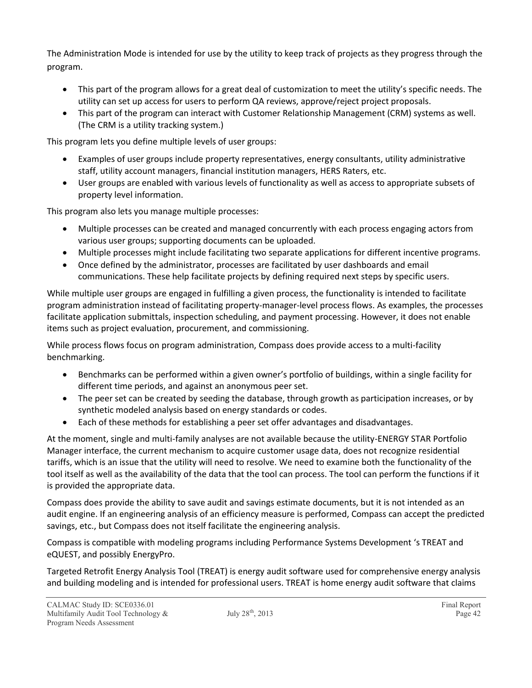The Administration Mode is intended for use by the utility to keep track of projects as they progress through the program.

- This part of the program allows for a great deal of customization to meet the utility's specific needs. The utility can set up access for users to perform QA reviews, approve/reject project proposals.
- This part of the program can interact with Customer Relationship Management (CRM) systems as well. (The CRM is a utility tracking system.)

This program lets you define multiple levels of user groups:

- Examples of user groups include property representatives, energy consultants, utility administrative staff, utility account managers, financial institution managers, HERS Raters, etc.
- User groups are enabled with various levels of functionality as well as access to appropriate subsets of property level information.

This program also lets you manage multiple processes:

- Multiple processes can be created and managed concurrently with each process engaging actors from various user groups; supporting documents can be uploaded.
- Multiple processes might include facilitating two separate applications for different incentive programs.
- Once defined by the administrator, processes are facilitated by user dashboards and email communications. These help facilitate projects by defining required next steps by specific users.

While multiple user groups are engaged in fulfilling a given process, the functionality is intended to facilitate program administration instead of facilitating property-manager-level process flows. As examples, the processes facilitate application submittals, inspection scheduling, and payment processing. However, it does not enable items such as project evaluation, procurement, and commissioning.

While process flows focus on program administration, Compass does provide access to a multi-facility benchmarking.

- Benchmarks can be performed within a given owner's portfolio of buildings, within a single facility for different time periods, and against an anonymous peer set.
- The peer set can be created by seeding the database, through growth as participation increases, or by synthetic modeled analysis based on energy standards or codes.
- Each of these methods for establishing a peer set offer advantages and disadvantages.

At the moment, single and multi-family analyses are not available because the utility-ENERGY STAR Portfolio Manager interface, the current mechanism to acquire customer usage data, does not recognize residential tariffs, which is an issue that the utility will need to resolve. We need to examine both the functionality of the tool itself as well as the availability of the data that the tool can process. The tool can perform the functions if it is provided the appropriate data.

Compass does provide the ability to save audit and savings estimate documents, but it is not intended as an audit engine. If an engineering analysis of an efficiency measure is performed, Compass can accept the predicted savings, etc., but Compass does not itself facilitate the engineering analysis.

Compass is compatible with modeling programs including Performance Systems Development 's TREAT and eQUEST, and possibly EnergyPro.

Targeted Retrofit Energy Analysis Tool (TREAT) is energy audit software used for comprehensive energy analysis and building modeling and is intended for professional users. TREAT is home energy audit software that claims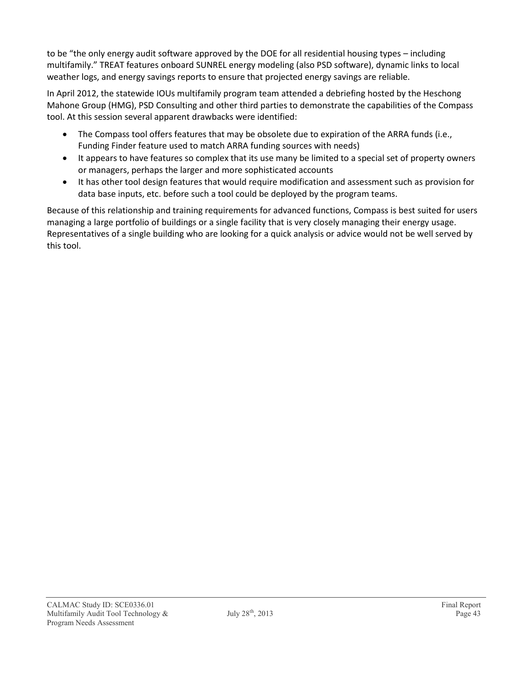to be "the only energy audit software approved by the DOE for all residential housing types – including multifamily." TREAT features onboard SUNREL energy modeling (also PSD software), dynamic links to local weather logs, and energy savings reports to ensure that projected energy savings are reliable.

In April 2012, the statewide IOUs multifamily program team attended a debriefing hosted by the Heschong Mahone Group (HMG), PSD Consulting and other third parties to demonstrate the capabilities of the Compass tool. At this session several apparent drawbacks were identified:

- The Compass tool offers features that may be obsolete due to expiration of the ARRA funds (i.e., Funding Finder feature used to match ARRA funding sources with needs)
- It appears to have features so complex that its use many be limited to a special set of property owners or managers, perhaps the larger and more sophisticated accounts
- It has other tool design features that would require modification and assessment such as provision for data base inputs, etc. before such a tool could be deployed by the program teams.

Because of this relationship and training requirements for advanced functions, Compass is best suited for users managing a large portfolio of buildings or a single facility that is very closely managing their energy usage. Representatives of a single building who are looking for a quick analysis or advice would not be well served by this tool.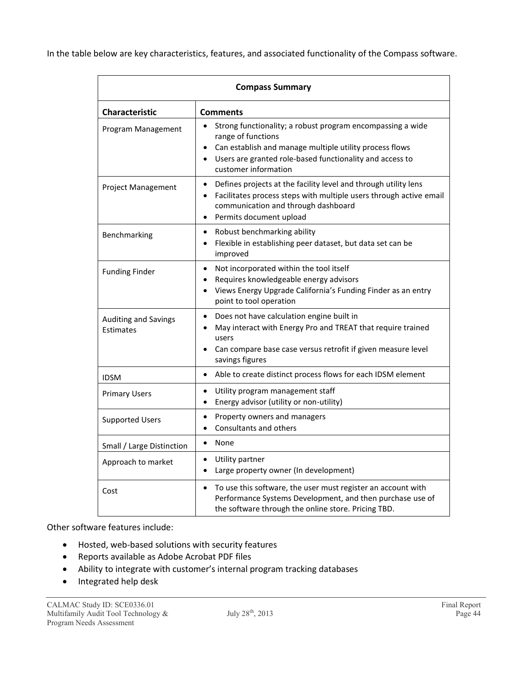In the table below are key characteristics, features, and associated functionality of the Compass software.

| <b>Compass Summary</b>            |                                                                                                                                                                                                                                                |  |
|-----------------------------------|------------------------------------------------------------------------------------------------------------------------------------------------------------------------------------------------------------------------------------------------|--|
| <b>Characteristic</b>             | <b>Comments</b>                                                                                                                                                                                                                                |  |
| Program Management                | Strong functionality; a robust program encompassing a wide<br>range of functions<br>Can establish and manage multiple utility process flows<br>Users are granted role-based functionality and access to<br>customer information                |  |
| Project Management                | Defines projects at the facility level and through utility lens<br>$\bullet$<br>Facilitates process steps with multiple users through active email<br>$\bullet$<br>communication and through dashboard<br>Permits document upload<br>$\bullet$ |  |
| Benchmarking                      | Robust benchmarking ability<br>$\bullet$<br>Flexible in establishing peer dataset, but data set can be<br>$\bullet$<br>improved                                                                                                                |  |
| <b>Funding Finder</b>             | Not incorporated within the tool itself<br>$\bullet$<br>Requires knowledgeable energy advisors<br>Views Energy Upgrade California's Funding Finder as an entry<br>$\bullet$<br>point to tool operation                                         |  |
| Auditing and Savings<br>Estimates | Does not have calculation engine built in<br>May interact with Energy Pro and TREAT that require trained<br>users<br>Can compare base case versus retrofit if given measure level<br>savings figures                                           |  |
| <b>IDSM</b>                       | Able to create distinct process flows for each IDSM element<br>$\bullet$                                                                                                                                                                       |  |
| <b>Primary Users</b>              | Utility program management staff<br>$\bullet$<br>Energy advisor (utility or non-utility)<br>$\bullet$                                                                                                                                          |  |
| <b>Supported Users</b>            | Property owners and managers<br>$\bullet$<br>Consultants and others                                                                                                                                                                            |  |
| Small / Large Distinction         | None<br>$\bullet$                                                                                                                                                                                                                              |  |
| Approach to market                | Utility partner<br>٠<br>Large property owner (In development)<br>$\bullet$                                                                                                                                                                     |  |
| Cost                              | To use this software, the user must register an account with<br>$\bullet$<br>Performance Systems Development, and then purchase use of<br>the software through the online store. Pricing TBD.                                                  |  |

#### Other software features include:

- Hosted, web-based solutions with security features
- Reports available as Adobe Acrobat PDF files
- Ability to integrate with customer's internal program tracking databases
- Integrated help desk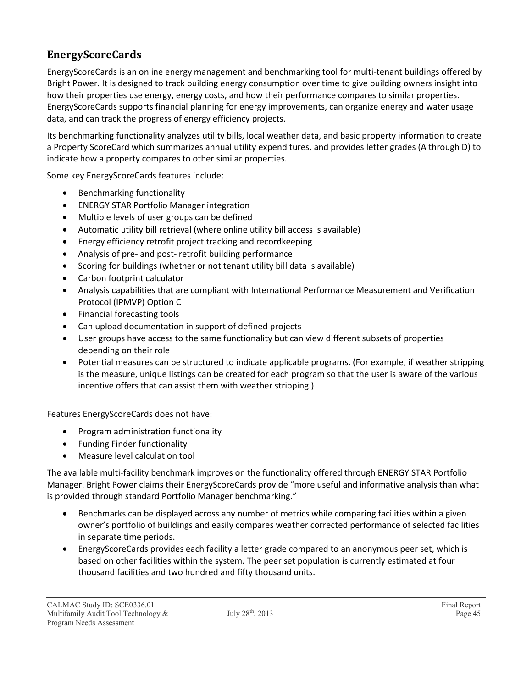### **EnergyScoreCards**

EnergyScoreCards is an online energy management and benchmarking tool for multi-tenant buildings offered by Bright Power. It is designed to track building energy consumption over time to give building owners insight into how their properties use energy, energy costs, and how their performance compares to similar properties. EnergyScoreCards supports financial planning for energy improvements, can organize energy and water usage data, and can track the progress of energy efficiency projects.

Its benchmarking functionality analyzes utility bills, local weather data, and basic property information to create a Property ScoreCard which summarizes annual utility expenditures, and provides letter grades (A through D) to indicate how a property compares to other similar properties.

Some key EnergyScoreCards features include:

- Benchmarking functionality
- ENERGY STAR Portfolio Manager integration
- Multiple levels of user groups can be defined
- Automatic utility bill retrieval (where online utility bill access is available)
- Energy efficiency retrofit project tracking and recordkeeping
- Analysis of pre- and post- retrofit building performance
- Scoring for buildings (whether or not tenant utility bill data is available)
- Carbon footprint calculator
- Analysis capabilities that are compliant with International Performance Measurement and Verification Protocol (IPMVP) Option C
- Financial forecasting tools
- Can upload documentation in support of defined projects
- User groups have access to the same functionality but can view different subsets of properties depending on their role
- Potential measures can be structured to indicate applicable programs. (For example, if weather stripping is the measure, unique listings can be created for each program so that the user is aware of the various incentive offers that can assist them with weather stripping.)

Features EnergyScoreCards does not have:

- Program administration functionality
- Funding Finder functionality
- Measure level calculation tool

The available multi-facility benchmark improves on the functionality offered through ENERGY STAR Portfolio Manager. Bright Power claims their EnergyScoreCards provide "more useful and informative analysis than what is provided through standard Portfolio Manager benchmarking."

- Benchmarks can be displayed across any number of metrics while comparing facilities within a given owner's portfolio of buildings and easily compares weather corrected performance of selected facilities in separate time periods.
- EnergyScoreCards provides each facility a letter grade compared to an anonymous peer set, which is based on other facilities within the system. The peer set population is currently estimated at four thousand facilities and two hundred and fifty thousand units.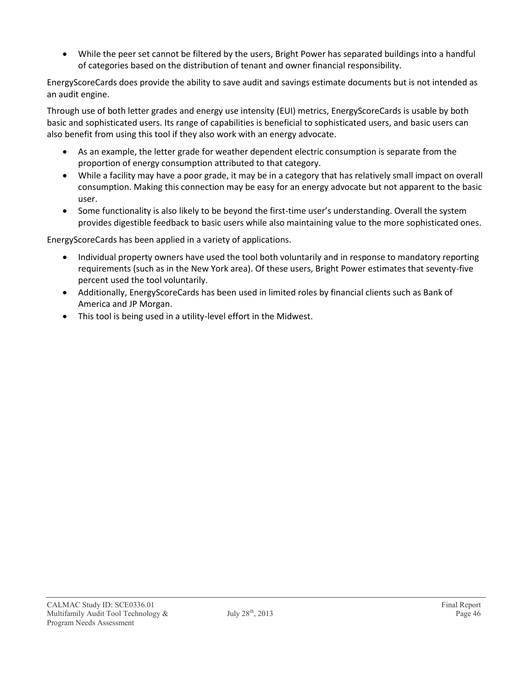While the peer set cannot be filtered by the users, Bright Power has separated buildings into a handful of categories based on the distribution of tenant and owner financial responsibility.

EnergyScoreCards does provide the ability to save audit and savings estimate documents but is not intended as an audit engine.

Through use of both letter grades and energy use intensity (EUI) metrics, EnergyScoreCards is usable by both basic and sophisticated users. Its range of capabilities is beneficial to sophisticated users, and basic users can also benefit from using this tool if they also work with an energy advocate.

- As an example, the letter grade for weather dependent electric consumption is separate from the proportion of energy consumption attributed to that category.
- While a facility may have a poor grade, it may be in a category that has relatively small impact on overall consumption. Making this connection may be easy for an energy advocate but not apparent to the basic user.
- Some functionality is also likely to be beyond the first-time user's understanding. Overall the system provides digestible feedback to basic users while also maintaining value to the more sophisticated ones.

EnergyScoreCards has been applied in a variety of applications.

- Individual property owners have used the tool both voluntarily and in response to mandatory reporting requirements (such as in the New York area). Of these users, Bright Power estimates that seventy-five percent used the tool voluntarily.
- Additionally, EnergyScoreCards has been used in limited roles by financial clients such as Bank of America and JP Morgan.
- This tool is being used in a utility-level effort in the Midwest.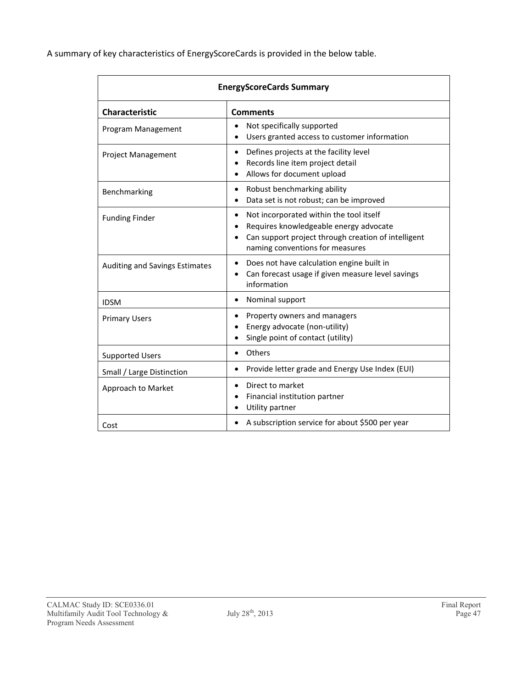A summary of key characteristics of EnergyScoreCards is provided in the below table.

| <b>EnergyScoreCards Summary</b> |                                                                                                                                                                                                       |  |  |
|---------------------------------|-------------------------------------------------------------------------------------------------------------------------------------------------------------------------------------------------------|--|--|
| <b>Characteristic</b>           | <b>Comments</b>                                                                                                                                                                                       |  |  |
| Program Management              | Not specifically supported<br>$\bullet$<br>Users granted access to customer information                                                                                                               |  |  |
| <b>Project Management</b>       | Defines projects at the facility level<br>$\bullet$<br>Records line item project detail<br>Allows for document upload<br>$\bullet$                                                                    |  |  |
| Benchmarking                    | Robust benchmarking ability<br>$\bullet$<br>Data set is not robust; can be improved<br>$\bullet$                                                                                                      |  |  |
| <b>Funding Finder</b>           | Not incorporated within the tool itself<br>$\bullet$<br>Requires knowledgeable energy advocate<br>$\bullet$<br>Can support project through creation of intelligent<br>naming conventions for measures |  |  |
| Auditing and Savings Estimates  | Does not have calculation engine built in<br>$\bullet$<br>Can forecast usage if given measure level savings<br>information                                                                            |  |  |
| <b>IDSM</b>                     | Nominal support<br>$\bullet$                                                                                                                                                                          |  |  |
| <b>Primary Users</b>            | Property owners and managers<br>$\bullet$<br>Energy advocate (non-utility)<br>Single point of contact (utility)                                                                                       |  |  |
| <b>Supported Users</b>          | Others<br>$\bullet$                                                                                                                                                                                   |  |  |
| Small / Large Distinction       | Provide letter grade and Energy Use Index (EUI)<br>$\bullet$                                                                                                                                          |  |  |
| Approach to Market              | Direct to market<br>$\bullet$<br>Financial institution partner<br>٠<br>Utility partner                                                                                                                |  |  |
| Cost                            | A subscription service for about \$500 per year                                                                                                                                                       |  |  |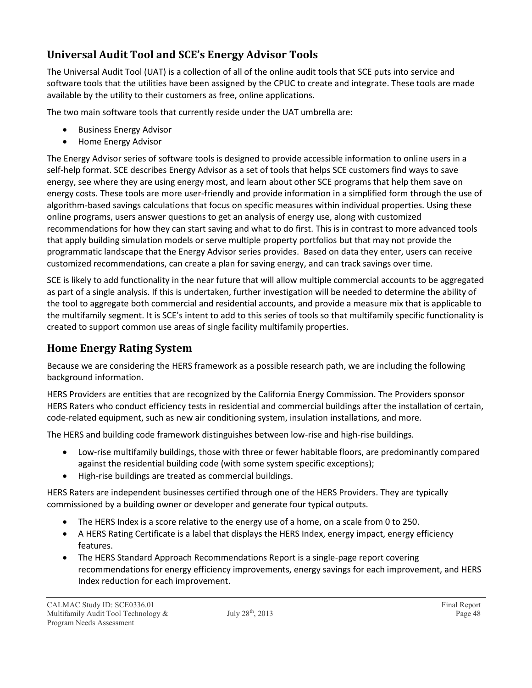### **Universal Audit Tool and SCE's Energy Advisor Tools**

The Universal Audit Tool (UAT) is a collection of all of the online audit tools that SCE puts into service and software tools that the utilities have been assigned by the CPUC to create and integrate. These tools are made available by the utility to their customers as free, online applications.

The two main software tools that currently reside under the UAT umbrella are:

- Business Energy Advisor
- Home Energy Advisor

The Energy Advisor series of software tools is designed to provide accessible information to online users in a self-help format. SCE describes Energy Advisor as a set of tools that helps SCE customers find ways to save energy, see where they are using energy most, and learn about other SCE programs that help them save on energy costs. These tools are more user-friendly and provide information in a simplified form through the use of algorithm-based savings calculations that focus on specific measures within individual properties. Using these online programs, users answer questions to get an analysis of energy use, along with customized recommendations for how they can start saving and what to do first. This is in contrast to more advanced tools that apply building simulation models or serve multiple property portfolios but that may not provide the programmatic landscape that the Energy Advisor series provides. Based on data they enter, users can receive customized recommendations, can create a plan for saving energy, and can track savings over time.

SCE is likely to add functionality in the near future that will allow multiple commercial accounts to be aggregated as part of a single analysis. If this is undertaken, further investigation will be needed to determine the ability of the tool to aggregate both commercial and residential accounts, and provide a measure mix that is applicable to the multifamily segment. It is SCE's intent to add to this series of tools so that multifamily specific functionality is created to support common use areas of single facility multifamily properties.

### **Home Energy Rating System**

Because we are considering the HERS framework as a possible research path, we are including the following background information.

HERS Providers are entities that are recognized by the California Energy Commission. The Providers sponsor HERS Raters who conduct efficiency tests in residential and commercial buildings after the installation of certain, code-related equipment, such as new air conditioning system, insulation installations, and more.

The HERS and building code framework distinguishes between low-rise and high-rise buildings.

- Low-rise multifamily buildings, those with three or fewer habitable floors, are predominantly compared against the residential building code (with some system specific exceptions);
- High-rise buildings are treated as commercial buildings.

HERS Raters are independent businesses certified through one of the HERS Providers. They are typically commissioned by a building owner or developer and generate four typical outputs.

- The HERS Index is a score relative to the energy use of a home, on a scale from 0 to 250.
- A HERS Rating Certificate is a label that displays the HERS Index, energy impact, energy efficiency features.
- The HERS Standard Approach Recommendations Report is a single-page report covering recommendations for energy efficiency improvements, energy savings for each improvement, and HERS Index reduction for each improvement.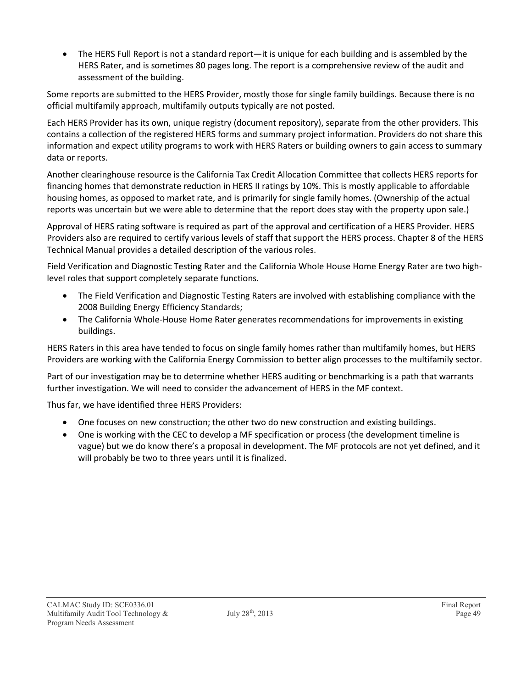The HERS Full Report is not a standard report—it is unique for each building and is assembled by the HERS Rater, and is sometimes 80 pages long. The report is a comprehensive review of the audit and assessment of the building.

Some reports are submitted to the HERS Provider, mostly those for single family buildings. Because there is no official multifamily approach, multifamily outputs typically are not posted.

Each HERS Provider has its own, unique registry (document repository), separate from the other providers. This contains a collection of the registered HERS forms and summary project information. Providers do not share this information and expect utility programs to work with HERS Raters or building owners to gain access to summary data or reports.

Another clearinghouse resource is the California Tax Credit Allocation Committee that collects HERS reports for financing homes that demonstrate reduction in HERS II ratings by 10%. This is mostly applicable to affordable housing homes, as opposed to market rate, and is primarily for single family homes. (Ownership of the actual reports was uncertain but we were able to determine that the report does stay with the property upon sale.)

Approval of HERS rating software is required as part of the approval and certification of a HERS Provider. HERS Providers also are required to certify various levels of staff that support the HERS process. Chapter 8 of the HERS Technical Manual provides a detailed description of the various roles.

Field Verification and Diagnostic Testing Rater and the California Whole House Home Energy Rater are two highlevel roles that support completely separate functions.

- The Field Verification and Diagnostic Testing Raters are involved with establishing compliance with the 2008 Building Energy Efficiency Standards;
- The California Whole-House Home Rater generates recommendations for improvements in existing buildings.

HERS Raters in this area have tended to focus on single family homes rather than multifamily homes, but HERS Providers are working with the California Energy Commission to better align processes to the multifamily sector.

Part of our investigation may be to determine whether HERS auditing or benchmarking is a path that warrants further investigation. We will need to consider the advancement of HERS in the MF context.

Thus far, we have identified three HERS Providers:

- One focuses on new construction; the other two do new construction and existing buildings.
- One is working with the CEC to develop a MF specification or process (the development timeline is vague) but we do know there's a proposal in development. The MF protocols are not yet defined, and it will probably be two to three years until it is finalized.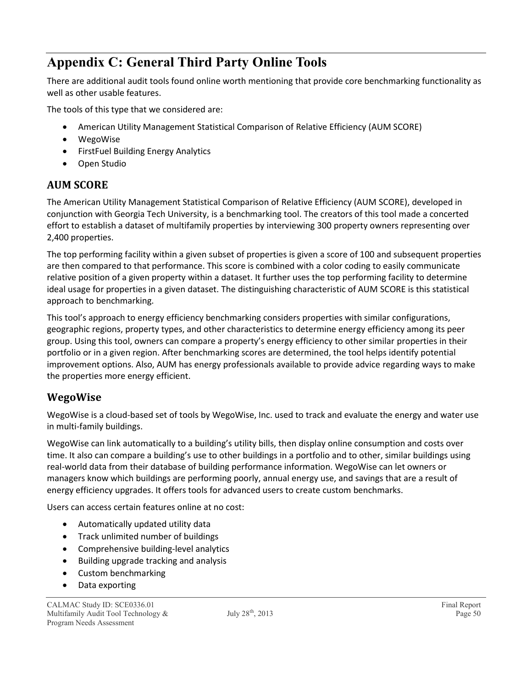## **Appendix C: General Third Party Online Tools**

There are additional audit tools found online worth mentioning that provide core benchmarking functionality as well as other usable features.

The tools of this type that we considered are:

- American Utility Management Statistical Comparison of Relative Efficiency (AUM SCORE)
- WegoWise
- FirstFuel Building Energy Analytics
- Open Studio

### **AUM SCORE**

The American Utility Management Statistical Comparison of Relative Efficiency (AUM SCORE), developed in conjunction with Georgia Tech University, is a benchmarking tool. The creators of this tool made a concerted effort to establish a dataset of multifamily properties by interviewing 300 property owners representing over 2,400 properties.

The top performing facility within a given subset of properties is given a score of 100 and subsequent properties are then compared to that performance. This score is combined with a color coding to easily communicate relative position of a given property within a dataset. It further uses the top performing facility to determine ideal usage for properties in a given dataset. The distinguishing characteristic of AUM SCORE is this statistical approach to benchmarking.

This tool's approach to energy efficiency benchmarking considers properties with similar configurations, geographic regions, property types, and other characteristics to determine energy efficiency among its peer group. Using this tool, owners can compare a property's energy efficiency to other similar properties in their portfolio or in a given region. After benchmarking scores are determined, the tool helps identify potential improvement options. Also, AUM has energy professionals available to provide advice regarding ways to make the properties more energy efficient.

### **WegoWise**

WegoWise is a cloud-based set of tools by WegoWise, Inc. used to track and evaluate the energy and water use in multi-family buildings.

WegoWise can link automatically to a building's utility bills, then display online consumption and costs over time. It also can compare a building's use to other buildings in a portfolio and to other, similar buildings using real-world data from their database of building performance information. WegoWise can let owners or managers know which buildings are performing poorly, annual energy use, and savings that are a result of energy efficiency upgrades. It offers tools for advanced users to create custom benchmarks.

Users can access certain features online at no cost:

- Automatically updated utility data
- Track unlimited number of buildings
- Comprehensive building-level analytics
- Building upgrade tracking and analysis
- Custom benchmarking
- Data exporting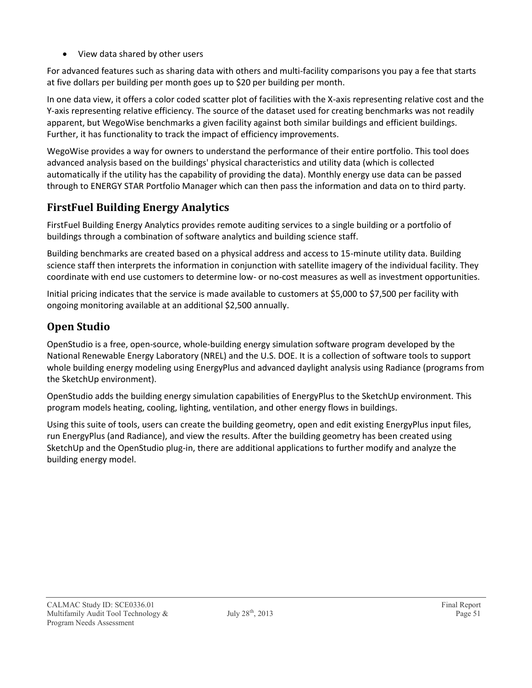• View data shared by other users

For advanced features such as sharing data with others and multi-facility comparisons you pay a fee that starts at five dollars per building per month goes up to \$20 per building per month.

In one data view, it offers a color coded scatter plot of facilities with the X-axis representing relative cost and the Y-axis representing relative efficiency. The source of the dataset used for creating benchmarks was not readily apparent, but WegoWise benchmarks a given facility against both similar buildings and efficient buildings. Further, it has functionality to track the impact of efficiency improvements.

WegoWise provides a way for owners to understand the performance of their entire portfolio. This tool does advanced analysis based on the buildings' physical characteristics and utility data (which is collected automatically if the utility has the capability of providing the data). Monthly energy use data can be passed through to ENERGY STAR Portfolio Manager which can then pass the information and data on to third party.

### **FirstFuel Building Energy Analytics**

FirstFuel Building Energy Analytics provides remote auditing services to a single building or a portfolio of buildings through a combination of software analytics and building science staff.

Building benchmarks are created based on a physical address and access to 15-minute utility data. Building science staff then interprets the information in conjunction with satellite imagery of the individual facility. They coordinate with end use customers to determine low- or no-cost measures as well as investment opportunities.

Initial pricing indicates that the service is made available to customers at \$5,000 to \$7,500 per facility with ongoing monitoring available at an additional \$2,500 annually.

### **Open Studio**

OpenStudio is a free, open-source, whole-building energy simulation software program developed by the National Renewable Energy Laboratory (NREL) and the U.S. DOE. It is a collection of software tools to support whole building energy modeling using EnergyPlus and advanced daylight analysis using Radiance (programs from the SketchUp environment).

OpenStudio adds the building energy simulation capabilities of EnergyPlus to the SketchUp environment. This program models heating, cooling, lighting, ventilation, and other energy flows in buildings.

Using this suite of tools, users can create the building geometry, open and edit existing EnergyPlus input files, run EnergyPlus (and Radiance), and view the results. After the building geometry has been created using SketchUp and the OpenStudio plug-in, there are additional applications to further modify and analyze the building energy model.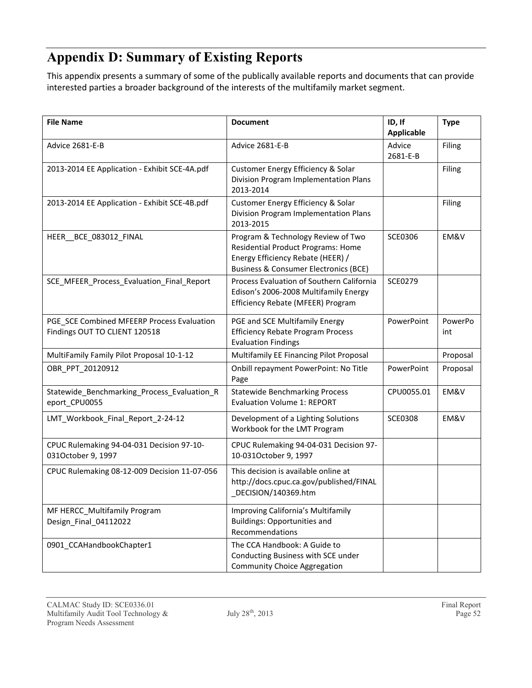## **Appendix D: Summary of Existing Reports**

This appendix presents a summary of some of the publically available reports and documents that can provide interested parties a broader background of the interests of the multifamily market segment.

| <b>File Name</b>                                                            | <b>Document</b>                                                                                                                                                   | ID, If<br><b>Applicable</b> | <b>Type</b>    |
|-----------------------------------------------------------------------------|-------------------------------------------------------------------------------------------------------------------------------------------------------------------|-----------------------------|----------------|
| Advice 2681-E-B                                                             | Advice 2681-E-B                                                                                                                                                   | Advice<br>2681-E-B          | Filing         |
| 2013-2014 EE Application - Exhibit SCE-4A.pdf                               | Customer Energy Efficiency & Solar<br>Division Program Implementation Plans<br>2013-2014                                                                          |                             | Filing         |
| 2013-2014 EE Application - Exhibit SCE-4B.pdf                               | Customer Energy Efficiency & Solar<br>Division Program Implementation Plans<br>2013-2015                                                                          |                             | Filing         |
| HEER_BCE_083012_FINAL                                                       | Program & Technology Review of Two<br>Residential Product Programs: Home<br>Energy Efficiency Rebate (HEER) /<br><b>Business &amp; Consumer Electronics (BCE)</b> | <b>SCE0306</b>              | EM&V           |
| SCE_MFEER_Process_Evaluation_Final_Report                                   | Process Evaluation of Southern California<br>Edison's 2006-2008 Multifamily Energy<br>Efficiency Rebate (MFEER) Program                                           | <b>SCE0279</b>              |                |
| PGE_SCE Combined MFEERP Process Evaluation<br>Findings OUT TO CLIENT 120518 | PGE and SCE Multifamily Energy<br><b>Efficiency Rebate Program Process</b><br><b>Evaluation Findings</b>                                                          | PowerPoint                  | PowerPo<br>int |
| MultiFamily Family Pilot Proposal 10-1-12                                   | Multifamily EE Financing Pilot Proposal                                                                                                                           |                             | Proposal       |
| OBR_PPT_20120912                                                            | Onbill repayment PowerPoint: No Title<br>Page                                                                                                                     | PowerPoint                  | Proposal       |
| Statewide_Benchmarking_Process_Evaluation_R<br>eport_CPU0055                | <b>Statewide Benchmarking Process</b><br><b>Evaluation Volume 1: REPORT</b>                                                                                       | CPU0055.01                  | EM&V           |
| LMT_Workbook_Final_Report_2-24-12                                           | Development of a Lighting Solutions<br>Workbook for the LMT Program                                                                                               | <b>SCE0308</b>              | EM&V           |
| CPUC Rulemaking 94-04-031 Decision 97-10-<br>031October 9, 1997             | CPUC Rulemaking 94-04-031 Decision 97-<br>10-031October 9, 1997                                                                                                   |                             |                |
| CPUC Rulemaking 08-12-009 Decision 11-07-056                                | This decision is available online at<br>http://docs.cpuc.ca.gov/published/FINAL<br>_DECISION/140369.htm                                                           |                             |                |
| MF HERCC_Multifamily Program<br>Design_Final_04112022                       | Improving California's Multifamily<br><b>Buildings: Opportunities and</b><br>Recommendations                                                                      |                             |                |
| 0901_CCAHandbookChapter1                                                    | The CCA Handbook: A Guide to<br>Conducting Business with SCE under<br><b>Community Choice Aggregation</b>                                                         |                             |                |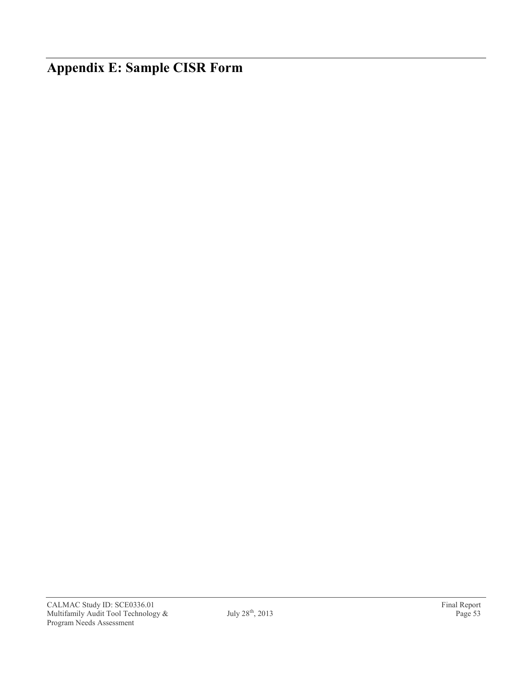**Appendix E: Sample CISR Form**